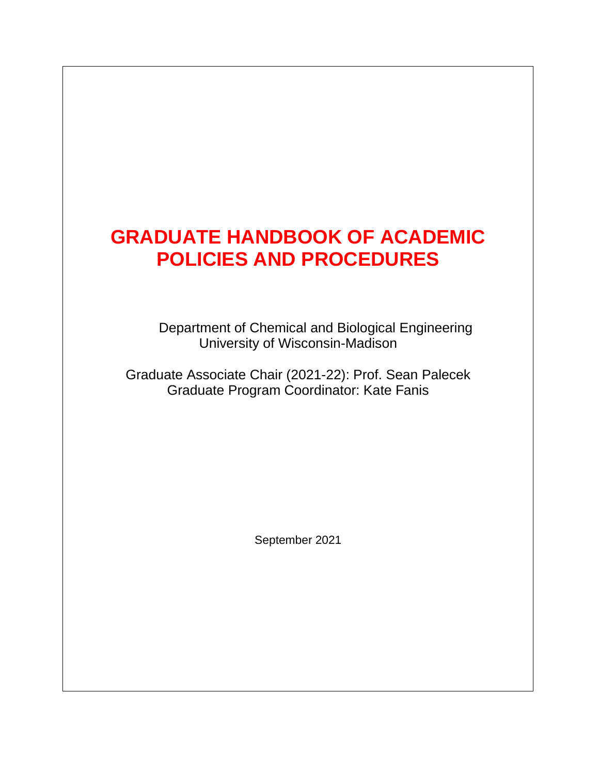# **GRADUATE HANDBOOK OF ACADEMIC POLICIES AND PROCEDURES**

Department of Chemical and Biological Engineering University of Wisconsin-Madison

Graduate Associate Chair (2021-22): Prof. Sean Palecek Graduate Program Coordinator: Kate Fanis

September 2021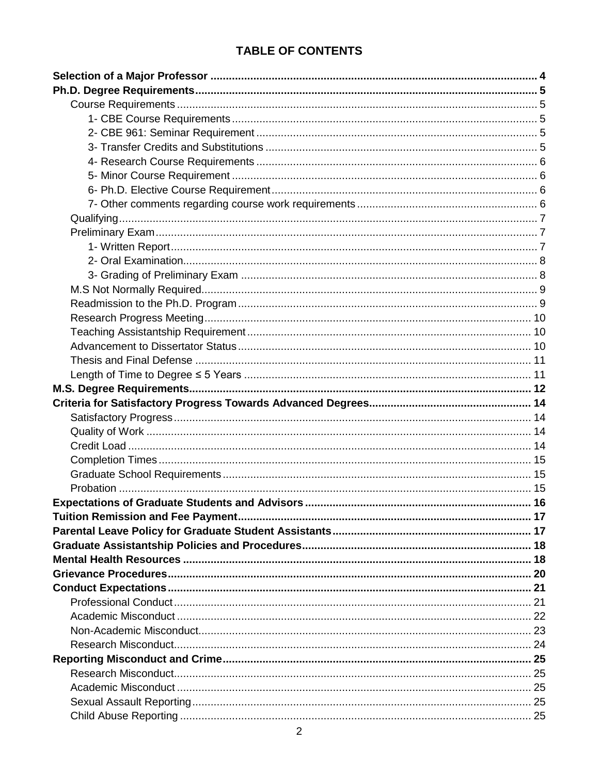# **TABLE OF CONTENTS**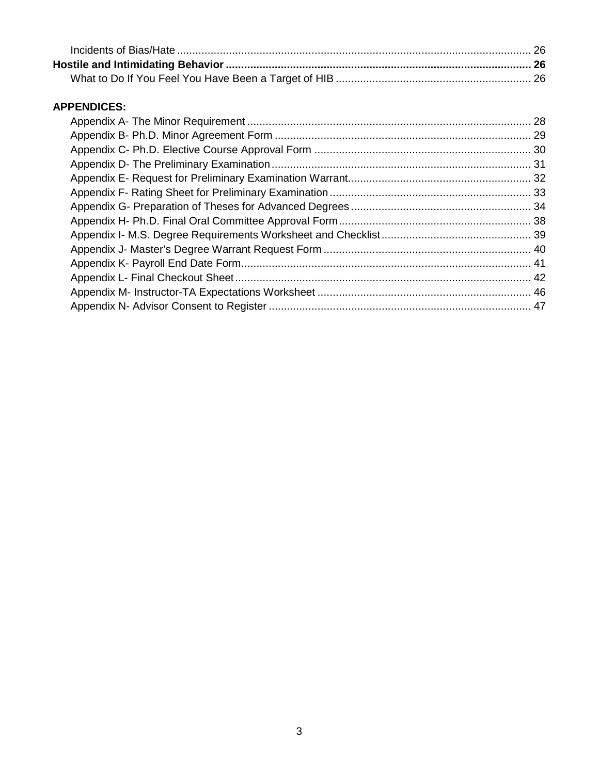# **APPENDICES:**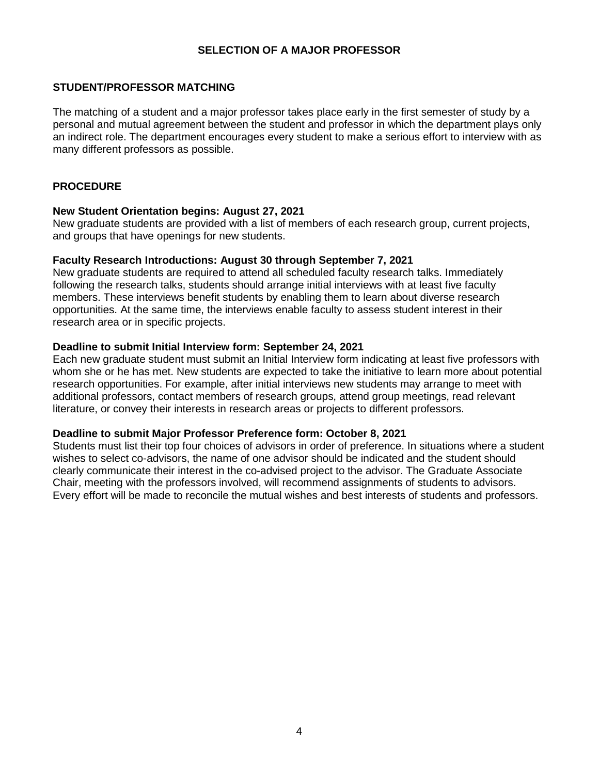## **SELECTION OF A MAJOR PROFESSOR**

#### **STUDENT/PROFESSOR MATCHING**

The matching of a student and a major professor takes place early in the first semester of study by a personal and mutual agreement between the student and professor in which the department plays only an indirect role. The department encourages every student to make a serious effort to interview with as many different professors as possible.

### **PROCEDURE**

#### **New Student Orientation begins: August 27, 2021**

New graduate students are provided with a list of members of each research group, current projects, and groups that have openings for new students.

#### **Faculty Research Introductions: August 30 through September 7, 2021**

New graduate students are required to attend all scheduled faculty research talks. Immediately following the research talks, students should arrange initial interviews with at least five faculty members. These interviews benefit students by enabling them to learn about diverse research opportunities. At the same time, the interviews enable faculty to assess student interest in their research area or in specific projects.

#### **Deadline to submit Initial Interview form: September 24, 2021**

Each new graduate student must submit an Initial Interview form indicating at least five professors with whom she or he has met. New students are expected to take the initiative to learn more about potential research opportunities. For example, after initial interviews new students may arrange to meet with additional professors, contact members of research groups, attend group meetings, read relevant literature, or convey their interests in research areas or projects to different professors.

#### **Deadline to submit Major Professor Preference form: October 8, 2021**

Students must list their top four choices of advisors in order of preference. In situations where a student wishes to select co-advisors, the name of one advisor should be indicated and the student should clearly communicate their interest in the co-advised project to the advisor. The Graduate Associate Chair, meeting with the professors involved, will recommend assignments of students to advisors. Every effort will be made to reconcile the mutual wishes and best interests of students and professors.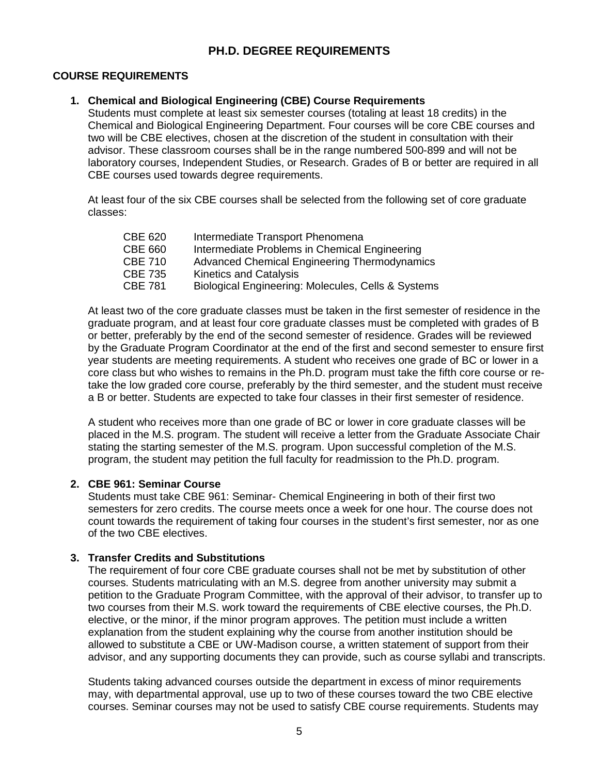# **PH.D. DEGREE REQUIREMENTS**

## **COURSE REQUIREMENTS**

#### **1. Chemical and Biological Engineering (CBE) Course Requirements**

Students must complete at least six semester courses (totaling at least 18 credits) in the Chemical and Biological Engineering Department. Four courses will be core CBE courses and two will be CBE electives, chosen at the discretion of the student in consultation with their advisor. These classroom courses shall be in the range numbered 500-899 and will not be laboratory courses, Independent Studies, or Research. Grades of B or better are required in all CBE courses used towards degree requirements.

At least four of the six CBE courses shall be selected from the following set of core graduate classes:

| <b>CBE 620</b> | Intermediate Transport Phenomena                   |
|----------------|----------------------------------------------------|
| <b>CBE 660</b> | Intermediate Problems in Chemical Engineering      |
| <b>CBE 710</b> | Advanced Chemical Engineering Thermodynamics       |
| <b>CBE 735</b> | <b>Kinetics and Catalysis</b>                      |
| <b>CBE 781</b> | Biological Engineering: Molecules, Cells & Systems |

At least two of the core graduate classes must be taken in the first semester of residence in the graduate program, and at least four core graduate classes must be completed with grades of B or better, preferably by the end of the second semester of residence. Grades will be reviewed by the Graduate Program Coordinator at the end of the first and second semester to ensure first year students are meeting requirements. A student who receives one grade of BC or lower in a core class but who wishes to remains in the Ph.D. program must take the fifth core course or retake the low graded core course, preferably by the third semester, and the student must receive a B or better. Students are expected to take four classes in their first semester of residence.

A student who receives more than one grade of BC or lower in core graduate classes will be placed in the M.S. program. The student will receive a letter from the Graduate Associate Chair stating the starting semester of the M.S. program. Upon successful completion of the M.S. program, the student may petition the full faculty for readmission to the Ph.D. program.

### **2. CBE 961: Seminar Course**

Students must take CBE 961: Seminar- Chemical Engineering in both of their first two semesters for zero credits. The course meets once a week for one hour. The course does not count towards the requirement of taking four courses in the student's first semester, nor as one of the two CBE electives.

#### **3. Transfer Credits and Substitutions**

The requirement of four core CBE graduate courses shall not be met by substitution of other courses. Students matriculating with an M.S. degree from another university may submit a petition to the Graduate Program Committee, with the approval of their advisor, to transfer up to two courses from their M.S. work toward the requirements of CBE elective courses, the Ph.D. elective, or the minor, if the minor program approves. The petition must include a written explanation from the student explaining why the course from another institution should be allowed to substitute a CBE or UW-Madison course, a written statement of support from their advisor, and any supporting documents they can provide, such as course syllabi and transcripts.

Students taking advanced courses outside the department in excess of minor requirements may, with departmental approval, use up to two of these courses toward the two CBE elective courses. Seminar courses may not be used to satisfy CBE course requirements. Students may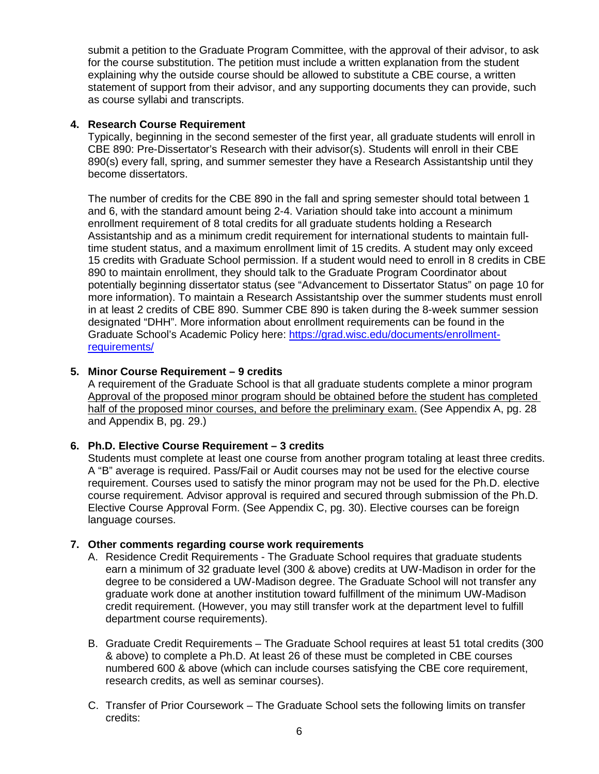submit a petition to the Graduate Program Committee, with the approval of their advisor, to ask for the course substitution. The petition must include a written explanation from the student explaining why the outside course should be allowed to substitute a CBE course, a written statement of support from their advisor, and any supporting documents they can provide, such as course syllabi and transcripts.

## **4. Research Course Requirement**

Typically, beginning in the second semester of the first year, all graduate students will enroll in CBE 890: Pre-Dissertator's Research with their advisor(s). Students will enroll in their CBE 890(s) every fall, spring, and summer semester they have a Research Assistantship until they become dissertators.

The number of credits for the CBE 890 in the fall and spring semester should total between 1 and 6, with the standard amount being 2-4. Variation should take into account a minimum enrollment requirement of 8 total credits for all graduate students holding a Research Assistantship and as a minimum credit requirement for international students to maintain fulltime student status, and a maximum enrollment limit of 15 credits. A student may only exceed 15 credits with Graduate School permission. If a student would need to enroll in 8 credits in CBE 890 to maintain enrollment, they should talk to the Graduate Program Coordinator about potentially beginning dissertator status (see "Advancement to Dissertator Status" on page 10 for more information). To maintain a Research Assistantship over the summer students must enroll in at least 2 credits of CBE 890. Summer CBE 890 is taken during the 8-week summer session designated "DHH". More information about enrollment requirements can be found in the Graduate School's Academic Policy here: [https://grad.wisc.edu/documents/enrollment](https://grad.wisc.edu/documents/enrollment-requirements/)[requirements/](https://grad.wisc.edu/documents/enrollment-requirements/)

## **5. Minor Course Requirement – 9 credits**

A requirement of the Graduate School is that all graduate students complete a minor program Approval of the proposed minor program should be obtained before the student has completed half of the proposed minor courses, and before the preliminary exam. (See Appendix A, pg. 28 and Appendix B, pg. 29.)

# **6. Ph.D. Elective Course Requirement – 3 credits**

Students must complete at least one course from another program totaling at least three credits. A "B" average is required. Pass/Fail or Audit courses may not be used for the elective course requirement. Courses used to satisfy the minor program may not be used for the Ph.D. elective course requirement. Advisor approval is required and secured through submission of the Ph.D. Elective Course Approval Form. (See Appendix C, pg. 30). Elective courses can be foreign language courses.

## **7. Other comments regarding course work requirements**

- A. Residence Credit Requirements The Graduate School requires that graduate students earn a minimum of 32 graduate level (300 & above) credits at UW-Madison in order for the degree to be considered a UW-Madison degree. The Graduate School will not transfer any graduate work done at another institution toward fulfillment of the minimum UW-Madison credit requirement. (However, you may still transfer work at the department level to fulfill department course requirements).
- B. Graduate Credit Requirements The Graduate School requires at least 51 total credits (300 & above) to complete a Ph.D. At least 26 of these must be completed in CBE courses numbered 600 & above (which can include courses satisfying the CBE core requirement, research credits, as well as seminar courses).
- C. Transfer of Prior Coursework The Graduate School sets the following limits on transfer credits: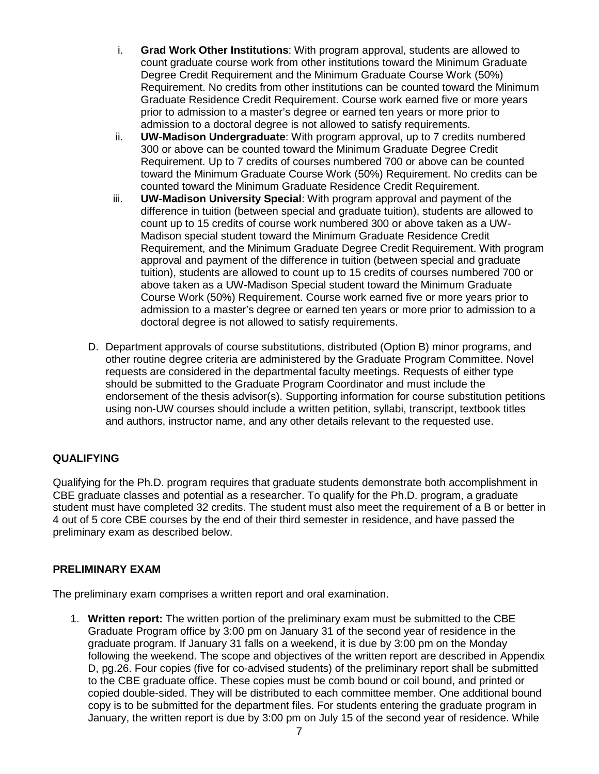- i. **Grad Work Other Institutions**: With program approval, students are allowed to count graduate course work from other institutions toward the Minimum Graduate Degree Credit Requirement and the Minimum Graduate Course Work (50%) Requirement. No credits from other institutions can be counted toward the Minimum Graduate Residence Credit Requirement. Course work earned five or more years prior to admission to a master's degree or earned ten years or more prior to admission to a doctoral degree is not allowed to satisfy requirements.
- ii. **UW-Madison Undergraduate**: With program approval, up to 7 credits numbered 300 or above can be counted toward the Minimum Graduate Degree Credit Requirement. Up to 7 credits of courses numbered 700 or above can be counted toward the Minimum Graduate Course Work (50%) Requirement. No credits can be counted toward the Minimum Graduate Residence Credit Requirement.
- iii. **UW-Madison University Special**: With program approval and payment of the difference in tuition (between special and graduate tuition), students are allowed to count up to 15 credits of course work numbered 300 or above taken as a UW-Madison special student toward the Minimum Graduate Residence Credit Requirement, and the Minimum Graduate Degree Credit Requirement. With program approval and payment of the difference in tuition (between special and graduate tuition), students are allowed to count up to 15 credits of courses numbered 700 or above taken as a UW-Madison Special student toward the Minimum Graduate Course Work (50%) Requirement. Course work earned five or more years prior to admission to a master's degree or earned ten years or more prior to admission to a doctoral degree is not allowed to satisfy requirements.
- D. Department approvals of course substitutions, distributed (Option B) minor programs, and other routine degree criteria are administered by the Graduate Program Committee. Novel requests are considered in the departmental faculty meetings. Requests of either type should be submitted to the Graduate Program Coordinator and must include the endorsement of the thesis advisor(s). Supporting information for course substitution petitions using non-UW courses should include a written petition, syllabi, transcript, textbook titles and authors, instructor name, and any other details relevant to the requested use.

# **QUALIFYING**

Qualifying for the Ph.D. program requires that graduate students demonstrate both accomplishment in CBE graduate classes and potential as a researcher. To qualify for the Ph.D. program, a graduate student must have completed 32 credits. The student must also meet the requirement of a B or better in 4 out of 5 core CBE courses by the end of their third semester in residence, and have passed the preliminary exam as described below.

# **PRELIMINARY EXAM**

The preliminary exam comprises a written report and oral examination.

1. **Written report:** The written portion of the preliminary exam must be submitted to the CBE Graduate Program office by 3:00 pm on January 31 of the second year of residence in the graduate program. If January 31 falls on a weekend, it is due by 3:00 pm on the Monday following the weekend. The scope and objectives of the written report are described in Appendix D, pg.26. Four copies (five for co-advised students) of the preliminary report shall be submitted to the CBE graduate office. These copies must be comb bound or coil bound, and printed or copied double-sided. They will be distributed to each committee member. One additional bound copy is to be submitted for the department files. For students entering the graduate program in January, the written report is due by 3:00 pm on July 15 of the second year of residence. While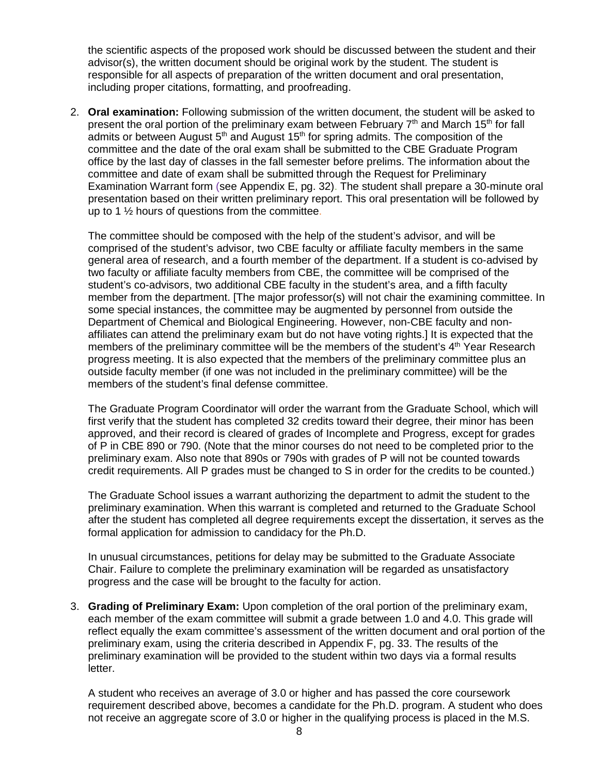the scientific aspects of the proposed work should be discussed between the student and their advisor(s), the written document should be original work by the student. The student is responsible for all aspects of preparation of the written document and oral presentation, including proper citations, formatting, and proofreading.

2. **Oral examination:** Following submission of the written document, the student will be asked to present the oral portion of the preliminary exam between February  $7<sup>th</sup>$  and March 15<sup>th</sup> for fall admits or between August  $5<sup>th</sup>$  and August 15<sup>th</sup> for spring admits. The composition of the committee and the date of the oral exam shall be submitted to the CBE Graduate Program office by the last day of classes in the fall semester before prelims. The information about the committee and date of exam shall be submitted through the Request for Preliminary Examination Warrant form (see Appendix E, pg. 32). The student shall prepare a 30-minute oral presentation based on their written preliminary report. This oral presentation will be followed by up to 1 ½ hours of questions from the committee.

The committee should be composed with the help of the student's advisor, and will be comprised of the student's advisor, two CBE faculty or affiliate faculty members in the same general area of research, and a fourth member of the department. If a student is co-advised by two faculty or affiliate faculty members from CBE, the committee will be comprised of the student's co-advisors, two additional CBE faculty in the student's area, and a fifth faculty member from the department. [The major professor(s) will not chair the examining committee. In some special instances, the committee may be augmented by personnel from outside the Department of Chemical and Biological Engineering. However, non-CBE faculty and nonaffiliates can attend the preliminary exam but do not have voting rights.] It is expected that the members of the preliminary committee will be the members of the student's  $4<sup>th</sup>$  Year Research progress meeting. It is also expected that the members of the preliminary committee plus an outside faculty member (if one was not included in the preliminary committee) will be the members of the student's final defense committee.

The Graduate Program Coordinator will order the warrant from the Graduate School, which will first verify that the student has completed 32 credits toward their degree, their minor has been approved, and their record is cleared of grades of Incomplete and Progress, except for grades of P in CBE 890 or 790. (Note that the minor courses do not need to be completed prior to the preliminary exam. Also note that 890s or 790s with grades of P will not be counted towards credit requirements. All P grades must be changed to S in order for the credits to be counted.)

The Graduate School issues a warrant authorizing the department to admit the student to the preliminary examination. When this warrant is completed and returned to the Graduate School after the student has completed all degree requirements except the dissertation, it serves as the formal application for admission to candidacy for the Ph.D.

In unusual circumstances, petitions for delay may be submitted to the Graduate Associate Chair. Failure to complete the preliminary examination will be regarded as unsatisfactory progress and the case will be brought to the faculty for action.

3. **Grading of Preliminary Exam:** Upon completion of the oral portion of the preliminary exam, each member of the exam committee will submit a grade between 1.0 and 4.0. This grade will reflect equally the exam committee's assessment of the written document and oral portion of the preliminary exam, using the criteria described in Appendix F, pg. 33. The results of the preliminary examination will be provided to the student within two days via a formal results letter.

A student who receives an average of 3.0 or higher and has passed the core coursework requirement described above, becomes a candidate for the Ph.D. program. A student who does not receive an aggregate score of 3.0 or higher in the qualifying process is placed in the M.S.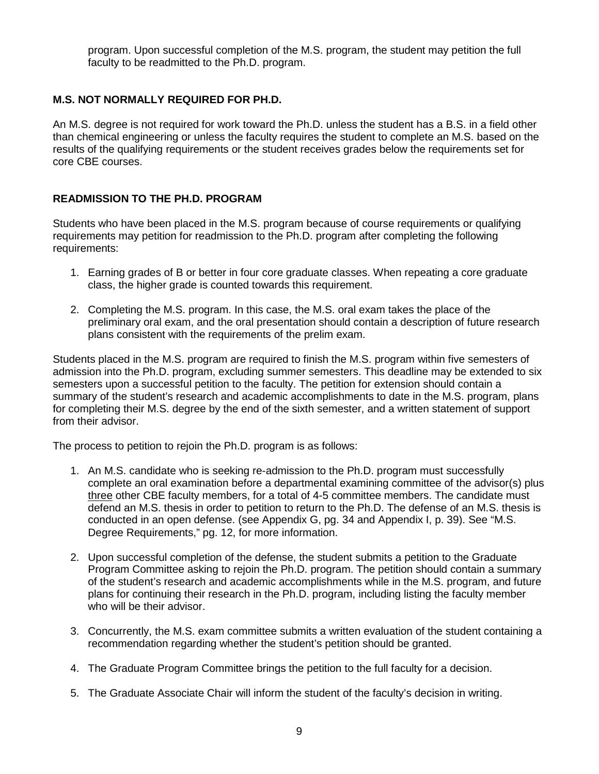program. Upon successful completion of the M.S. program, the student may petition the full faculty to be readmitted to the Ph.D. program.

# **M.S. NOT NORMALLY REQUIRED FOR PH.D.**

An M.S. degree is not required for work toward the Ph.D. unless the student has a B.S. in a field other than chemical engineering or unless the faculty requires the student to complete an M.S. based on the results of the qualifying requirements or the student receives grades below the requirements set for core CBE courses.

## **READMISSION TO THE PH.D. PROGRAM**

Students who have been placed in the M.S. program because of course requirements or qualifying requirements may petition for readmission to the Ph.D. program after completing the following requirements:

- 1. Earning grades of B or better in four core graduate classes. When repeating a core graduate class, the higher grade is counted towards this requirement.
- 2. Completing the M.S. program. In this case, the M.S. oral exam takes the place of the preliminary oral exam, and the oral presentation should contain a description of future research plans consistent with the requirements of the prelim exam.

Students placed in the M.S. program are required to finish the M.S. program within five semesters of admission into the Ph.D. program, excluding summer semesters. This deadline may be extended to six semesters upon a successful petition to the faculty. The petition for extension should contain a summary of the student's research and academic accomplishments to date in the M.S. program, plans for completing their M.S. degree by the end of the sixth semester, and a written statement of support from their advisor.

The process to petition to rejoin the Ph.D. program is as follows:

- 1. An M.S. candidate who is seeking re-admission to the Ph.D. program must successfully complete an oral examination before a departmental examining committee of the advisor(s) plus three other CBE faculty members, for a total of 4-5 committee members. The candidate must defend an M.S. thesis in order to petition to return to the Ph.D. The defense of an M.S. thesis is conducted in an open defense. (see Appendix G, pg. 34 and Appendix I, p. 39). See "M.S. Degree Requirements," pg. 12, for more information.
- 2. Upon successful completion of the defense, the student submits a petition to the Graduate Program Committee asking to rejoin the Ph.D. program. The petition should contain a summary of the student's research and academic accomplishments while in the M.S. program, and future plans for continuing their research in the Ph.D. program, including listing the faculty member who will be their advisor.
- 3. Concurrently, the M.S. exam committee submits a written evaluation of the student containing a recommendation regarding whether the student's petition should be granted.
- 4. The Graduate Program Committee brings the petition to the full faculty for a decision.
- 5. The Graduate Associate Chair will inform the student of the faculty's decision in writing.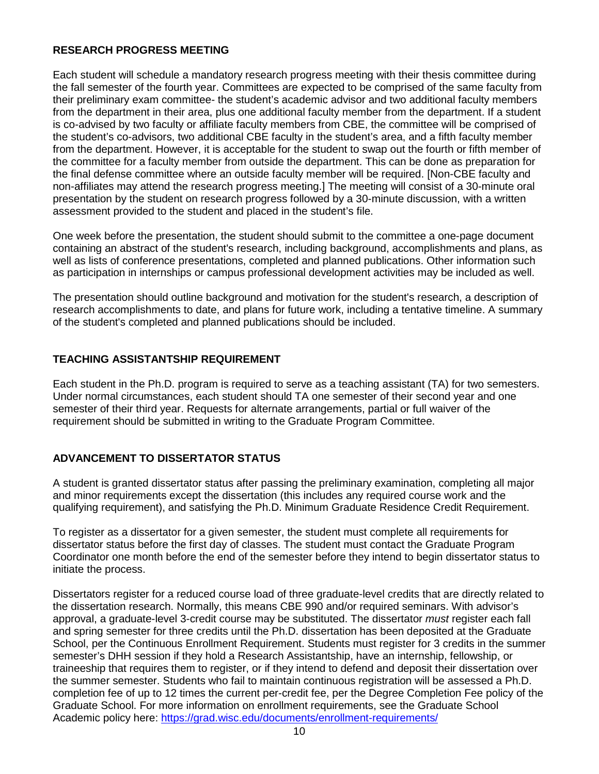## **RESEARCH PROGRESS MEETING**

Each student will schedule a mandatory research progress meeting with their thesis committee during the fall semester of the fourth year. Committees are expected to be comprised of the same faculty from their preliminary exam committee- the student's academic advisor and two additional faculty members from the department in their area, plus one additional faculty member from the department. If a student is co-advised by two faculty or affiliate faculty members from CBE, the committee will be comprised of the student's co-advisors, two additional CBE faculty in the student's area, and a fifth faculty member from the department. However, it is acceptable for the student to swap out the fourth or fifth member of the committee for a faculty member from outside the department. This can be done as preparation for the final defense committee where an outside faculty member will be required. [Non-CBE faculty and non-affiliates may attend the research progress meeting.] The meeting will consist of a 30-minute oral presentation by the student on research progress followed by a 30-minute discussion, with a written assessment provided to the student and placed in the student's file.

One week before the presentation, the student should submit to the committee a one-page document containing an abstract of the student's research, including background, accomplishments and plans, as well as lists of conference presentations, completed and planned publications. Other information such as participation in internships or campus professional development activities may be included as well.

The presentation should outline background and motivation for the student's research, a description of research accomplishments to date, and plans for future work, including a tentative timeline. A summary of the student's completed and planned publications should be included.

# **TEACHING ASSISTANTSHIP REQUIREMENT**

Each student in the Ph.D. program is required to serve as a teaching assistant (TA) for two semesters. Under normal circumstances, each student should TA one semester of their second year and one semester of their third year. Requests for alternate arrangements, partial or full waiver of the requirement should be submitted in writing to the Graduate Program Committee.

# **ADVANCEMENT TO DISSERTATOR STATUS**

A student is granted dissertator status after passing the preliminary examination, completing all major and minor requirements except the dissertation (this includes any required course work and the qualifying requirement), and satisfying the Ph.D. Minimum Graduate Residence Credit Requirement.

To register as a dissertator for a given semester, the student must complete all requirements for dissertator status before the first day of classes. The student must contact the Graduate Program Coordinator one month before the end of the semester before they intend to begin dissertator status to initiate the process.

Dissertators register for a reduced course load of three graduate-level credits that are directly related to the dissertation research. Normally, this means CBE 990 and/or required seminars. With advisor's approval, a graduate-level 3-credit course may be substituted. The dissertator *must* register each fall and spring semester for three credits until the Ph.D. dissertation has been deposited at the Graduate School, per the Continuous Enrollment Requirement. Students must register for 3 credits in the summer semester's DHH session if they hold a Research Assistantship, have an internship, fellowship, or traineeship that requires them to register, or if they intend to defend and deposit their dissertation over the summer semester. Students who fail to maintain continuous registration will be assessed a Ph.D. completion fee of up to 12 times the current per-credit fee, per the Degree Completion Fee policy of the Graduate School. For more information on enrollment requirements, see the Graduate School Academic policy here:<https://grad.wisc.edu/documents/enrollment-requirements/>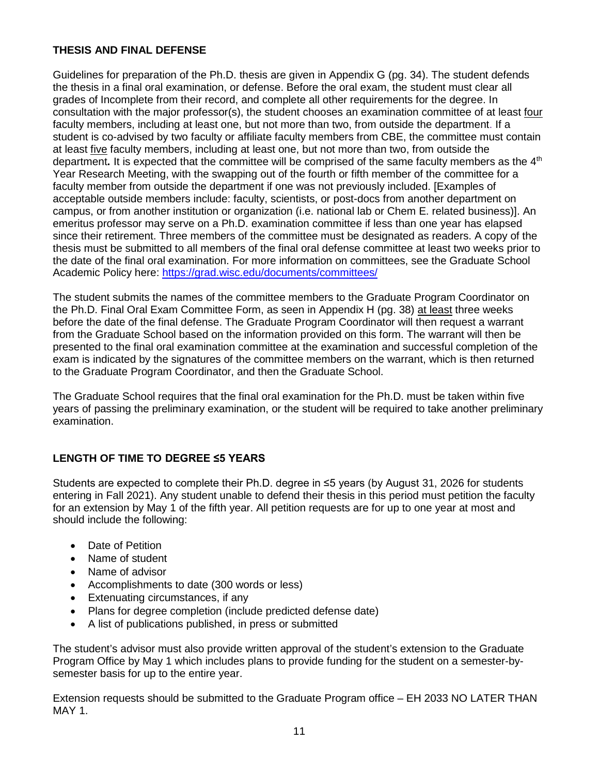## **THESIS AND FINAL DEFENSE**

Guidelines for preparation of the Ph.D. thesis are given in Appendix G (pg. 34). The student defends the thesis in a final oral examination, or defense. Before the oral exam, the student must clear all grades of Incomplete from their record, and complete all other requirements for the degree. In consultation with the major professor(s), the student chooses an examination committee of at least four faculty members, including at least one, but not more than two, from outside the department. If a student is co-advised by two faculty or affiliate faculty members from CBE, the committee must contain at least five faculty members, including at least one, but not more than two, from outside the department. It is expected that the committee will be comprised of the same faculty members as the 4<sup>th</sup> Year Research Meeting, with the swapping out of the fourth or fifth member of the committee for a faculty member from outside the department if one was not previously included. [Examples of acceptable outside members include: faculty, scientists, or post-docs from another department on campus, or from another institution or organization (i.e. national lab or Chem E. related business)]. An emeritus professor may serve on a Ph.D. examination committee if less than one year has elapsed since their retirement. Three members of the committee must be designated as readers. A copy of the thesis must be submitted to all members of the final oral defense committee at least two weeks prior to the date of the final oral examination. For more information on committees, see the Graduate School Academic Policy here: <https://grad.wisc.edu/documents/committees/>

The student submits the names of the committee members to the Graduate Program Coordinator on the Ph.D. Final Oral Exam Committee Form, as seen in Appendix H (pg. 38) at least three weeks before the date of the final defense. The Graduate Program Coordinator will then request a warrant from the Graduate School based on the information provided on this form. The warrant will then be presented to the final oral examination committee at the examination and successful completion of the exam is indicated by the signatures of the committee members on the warrant, which is then returned to the Graduate Program Coordinator, and then the Graduate School.

The Graduate School requires that the final oral examination for the Ph.D. must be taken within five years of passing the preliminary examination, or the student will be required to take another preliminary examination.

# **LENGTH OF TIME TO DEGREE ≤5 YEARS**

Students are expected to complete their Ph.D. degree in ≤5 years (by August 31, 2026 for students entering in Fall 2021). Any student unable to defend their thesis in this period must petition the faculty for an extension by May 1 of the fifth year. All petition requests are for up to one year at most and should include the following:

- Date of Petition
- Name of student
- Name of advisor
- Accomplishments to date (300 words or less)
- Extenuating circumstances, if any
- Plans for degree completion (include predicted defense date)
- A list of publications published, in press or submitted

The student's advisor must also provide written approval of the student's extension to the Graduate Program Office by May 1 which includes plans to provide funding for the student on a semester-bysemester basis for up to the entire year.

Extension requests should be submitted to the Graduate Program office – EH 2033 NO LATER THAN MAY 1.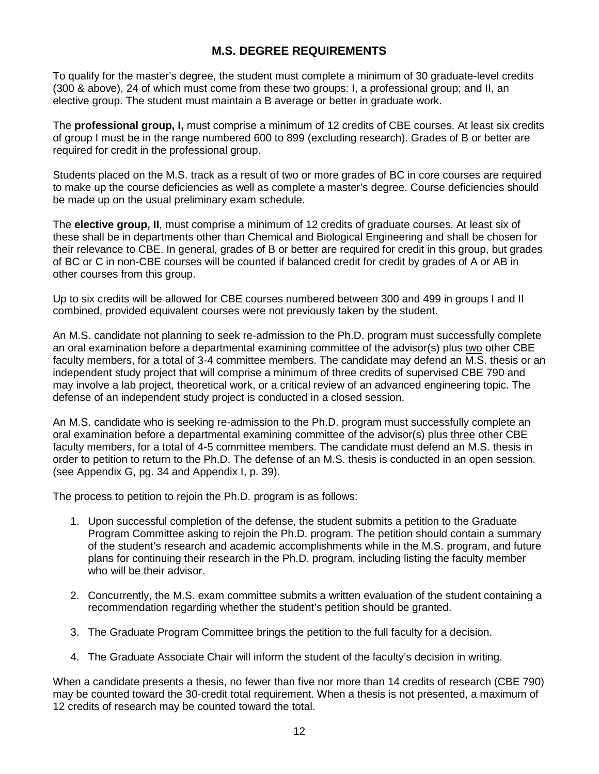# **M.S. DEGREE REQUIREMENTS**

To qualify for the master's degree, the student must complete a minimum of 30 graduate-level credits (300 & above), 24 of which must come from these two groups: I, a professional group; and II, an elective group. The student must maintain a B average or better in graduate work.

The **professional group, I,** must comprise a minimum of 12 credits of CBE courses. At least six credits of group I must be in the range numbered 600 to 899 (excluding research). Grades of B or better are required for credit in the professional group.

Students placed on the M.S. track as a result of two or more grades of BC in core courses are required to make up the course deficiencies as well as complete a master's degree. Course deficiencies should be made up on the usual preliminary exam schedule.

The **elective group, II**, must comprise a minimum of 12 credits of graduate courses. At least six of these shall be in departments other than Chemical and Biological Engineering and shall be chosen for their relevance to CBE. In general, grades of B or better are required for credit in this group, but grades of BC or C in non-CBE courses will be counted if balanced credit for credit by grades of A or AB in other courses from this group.

Up to six credits will be allowed for CBE courses numbered between 300 and 499 in groups I and II combined, provided equivalent courses were not previously taken by the student.

An M.S. candidate not planning to seek re-admission to the Ph.D. program must successfully complete an oral examination before a departmental examining committee of the advisor(s) plus two other CBE faculty members, for a total of 3-4 committee members. The candidate may defend an M.S. thesis or an independent study project that will comprise a minimum of three credits of supervised CBE 790 and may involve a lab project, theoretical work, or a critical review of an advanced engineering topic. The defense of an independent study project is conducted in a closed session.

An M.S. candidate who is seeking re-admission to the Ph.D. program must successfully complete an oral examination before a departmental examining committee of the advisor(s) plus three other CBE faculty members, for a total of 4-5 committee members. The candidate must defend an M.S. thesis in order to petition to return to the Ph.D. The defense of an M.S. thesis is conducted in an open session. (see Appendix G, pg. 34 and Appendix I, p. 39).

The process to petition to rejoin the Ph.D. program is as follows:

- 1. Upon successful completion of the defense, the student submits a petition to the Graduate Program Committee asking to rejoin the Ph.D. program. The petition should contain a summary of the student's research and academic accomplishments while in the M.S. program, and future plans for continuing their research in the Ph.D. program, including listing the faculty member who will be their advisor.
- 2. Concurrently, the M.S. exam committee submits a written evaluation of the student containing a recommendation regarding whether the student's petition should be granted.
- 3. The Graduate Program Committee brings the petition to the full faculty for a decision.
- 4. The Graduate Associate Chair will inform the student of the faculty's decision in writing.

When a candidate presents a thesis, no fewer than five nor more than 14 credits of research (CBE 790) may be counted toward the 30-credit total requirement. When a thesis is not presented, a maximum of 12 credits of research may be counted toward the total.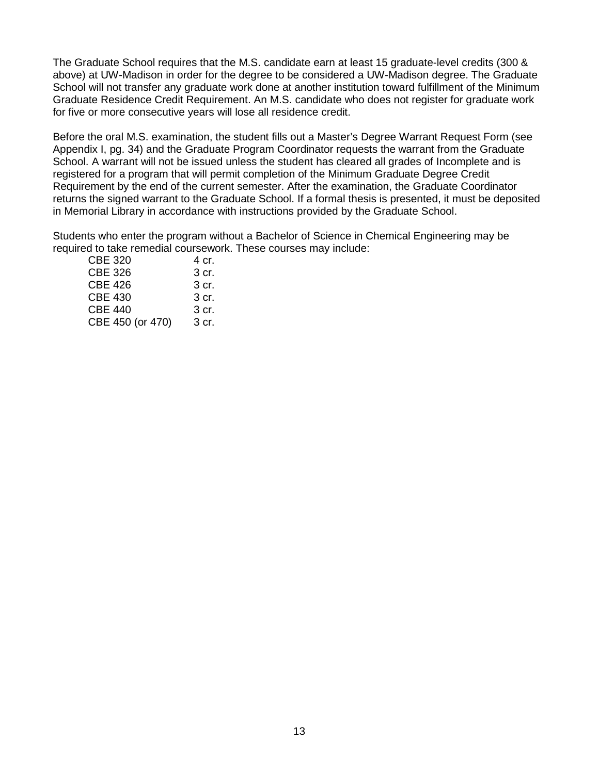The Graduate School requires that the M.S. candidate earn at least 15 graduate-level credits (300 & above) at UW-Madison in order for the degree to be considered a UW-Madison degree. The Graduate School will not transfer any graduate work done at another institution toward fulfillment of the Minimum Graduate Residence Credit Requirement. An M.S. candidate who does not register for graduate work for five or more consecutive years will lose all residence credit.

Before the oral M.S. examination, the student fills out a Master's Degree Warrant Request Form (see Appendix I, pg. 34) and the Graduate Program Coordinator requests the warrant from the Graduate School. A warrant will not be issued unless the student has cleared all grades of Incomplete and is registered for a program that will permit completion of the Minimum Graduate Degree Credit Requirement by the end of the current semester. After the examination, the Graduate Coordinator returns the signed warrant to the Graduate School. If a formal thesis is presented, it must be deposited in Memorial Library in accordance with instructions provided by the Graduate School.

Students who enter the program without a Bachelor of Science in Chemical Engineering may be required to take remedial coursework. These courses may include:

| <b>CBE 320</b><br>4 cr.   |  |
|---------------------------|--|
| <b>CBE 326</b><br>3 cr.   |  |
| <b>CBE 426</b><br>3 cr.   |  |
| <b>CBE 430</b><br>3 cr.   |  |
| <b>CBE 440</b><br>3 cr.   |  |
| CBE 450 (or 470)<br>3 cr. |  |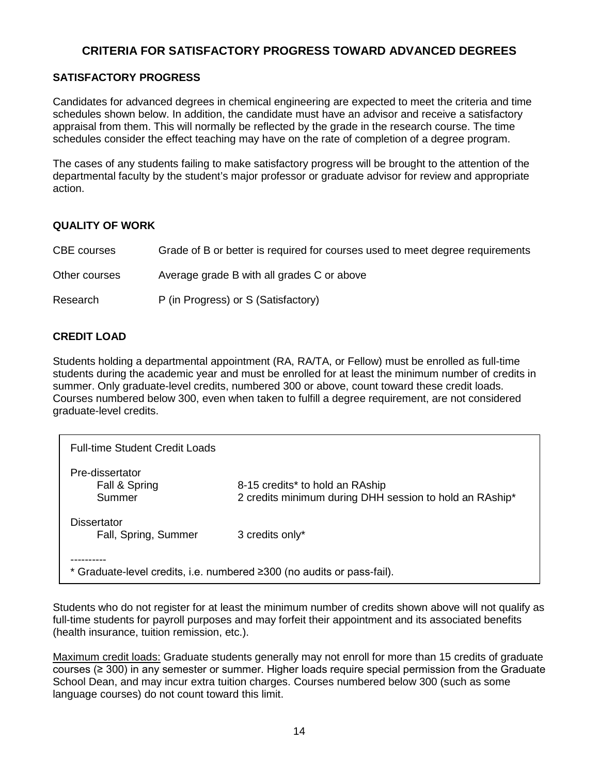# **CRITERIA FOR SATISFACTORY PROGRESS TOWARD ADVANCED DEGREES**

# **SATISFACTORY PROGRESS**

Candidates for advanced degrees in chemical engineering are expected to meet the criteria and time schedules shown below. In addition, the candidate must have an advisor and receive a satisfactory appraisal from them. This will normally be reflected by the grade in the research course. The time schedules consider the effect teaching may have on the rate of completion of a degree program.

The cases of any students failing to make satisfactory progress will be brought to the attention of the departmental faculty by the student's major professor or graduate advisor for review and appropriate action.

## **QUALITY OF WORK**

| CBE courses   | Grade of B or better is required for courses used to meet degree requirements |
|---------------|-------------------------------------------------------------------------------|
| Other courses | Average grade B with all grades C or above                                    |
| Research      | P (in Progress) or S (Satisfactory)                                           |

## **CREDIT LOAD**

Students holding a departmental appointment (RA, RA/TA, or Fellow) must be enrolled as full-time students during the academic year and must be enrolled for at least the minimum number of credits in summer. Only graduate-level credits, numbered 300 or above, count toward these credit loads. Courses numbered below 300, even when taken to fulfill a degree requirement, are not considered graduate-level credits.

| <b>Full-time Student Credit Loads</b>      |                                                                                            |
|--------------------------------------------|--------------------------------------------------------------------------------------------|
| Pre-dissertator<br>Fall & Spring<br>Summer | 8-15 credits* to hold an RAship<br>2 credits minimum during DHH session to hold an RAship* |
| Dissertator<br>Fall, Spring, Summer        | 3 credits only*                                                                            |
|                                            | * Graduate-level credits, i.e. numbered ≥300 (no audits or pass-fail).                     |

Students who do not register for at least the minimum number of credits shown above will not qualify as full-time students for payroll purposes and may forfeit their appointment and its associated benefits (health insurance, tuition remission, etc.).

Maximum credit loads: Graduate students generally may not enroll for more than 15 credits of graduate courses (≥ 300) in any semester or summer. Higher loads require special permission from the Graduate School Dean, and may incur extra tuition charges. Courses numbered below 300 (such as some language courses) do not count toward this limit.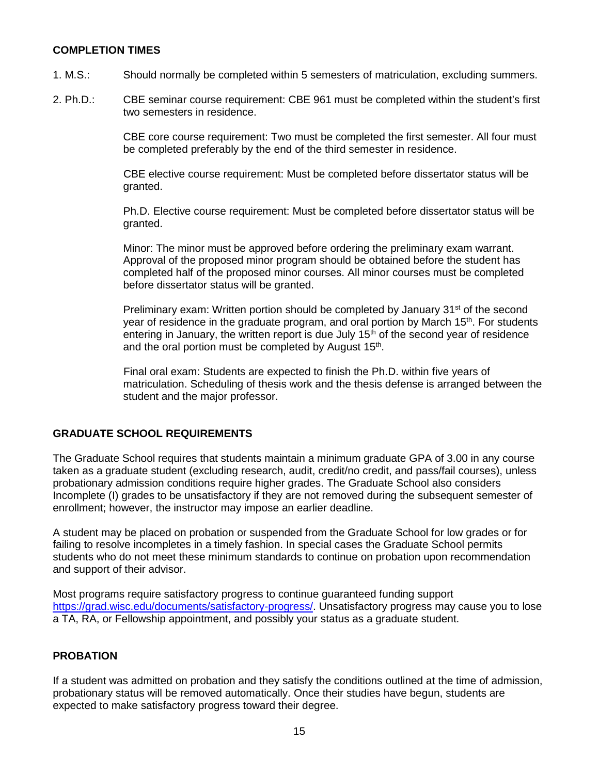#### **COMPLETION TIMES**

- 1. M.S.: Should normally be completed within 5 semesters of matriculation, excluding summers.
- 2. Ph.D.: CBE seminar course requirement: CBE 961 must be completed within the student's first two semesters in residence.

CBE core course requirement: Two must be completed the first semester. All four must be completed preferably by the end of the third semester in residence.

CBE elective course requirement: Must be completed before dissertator status will be granted.

Ph.D. Elective course requirement: Must be completed before dissertator status will be granted.

Minor: The minor must be approved before ordering the preliminary exam warrant. Approval of the proposed minor program should be obtained before the student has completed half of the proposed minor courses. All minor courses must be completed before dissertator status will be granted.

Preliminary exam: Written portion should be completed by January  $31<sup>st</sup>$  of the second year of residence in the graduate program, and oral portion by March 15<sup>th</sup>. For students entering in January, the written report is due July  $15<sup>th</sup>$  of the second year of residence and the oral portion must be completed by August 15<sup>th</sup>.

Final oral exam: Students are expected to finish the Ph.D. within five years of matriculation. Scheduling of thesis work and the thesis defense is arranged between the student and the major professor.

## **GRADUATE SCHOOL REQUIREMENTS**

The Graduate School requires that students maintain a minimum graduate GPA of 3.00 in any course taken as a graduate student (excluding research, audit, credit/no credit, and pass/fail courses), unless probationary admission conditions require higher grades. The Graduate School also considers Incomplete (I) grades to be unsatisfactory if they are not removed during the subsequent semester of enrollment; however, the instructor may impose an earlier deadline.

A student may be placed on probation or suspended from the Graduate School for low grades or for failing to resolve incompletes in a timely fashion. In special cases the Graduate School permits students who do not meet these minimum standards to continue on probation upon recommendation and support of their advisor.

Most programs require satisfactory progress to continue guaranteed funding support [https://grad.wisc.edu/documents/satisfactory-progress/.](https://grad.wisc.edu/documents/satisfactory-progress/) Unsatisfactory progress may cause you to lose a TA, RA, or Fellowship appointment, and possibly your status as a graduate student.

## **PROBATION**

If a student was admitted on probation and they satisfy the conditions outlined at the time of admission, probationary status will be removed automatically. Once their studies have begun, students are expected to make satisfactory progress toward their degree.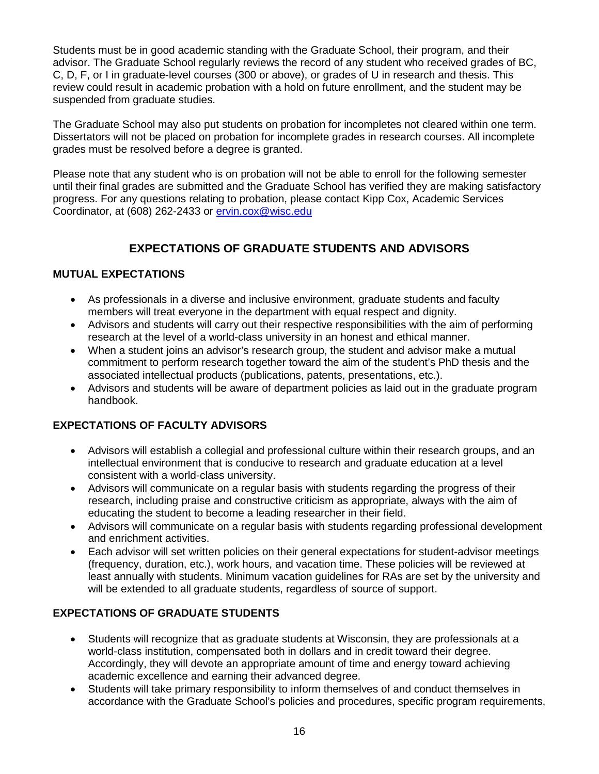Students must be in good academic standing with the Graduate School, their program, and their advisor. The Graduate School regularly reviews the record of any student who received grades of BC, C, D, F, or I in graduate-level courses (300 or above), or grades of U in research and thesis. This review could result in academic probation with a hold on future enrollment, and the student may be suspended from graduate studies.

The Graduate School may also put students on probation for incompletes not cleared within one term. Dissertators will not be placed on probation for incomplete grades in research courses. All incomplete grades must be resolved before a degree is granted.

Please note that any student who is on probation will not be able to enroll for the following semester until their final grades are submitted and the Graduate School has verified they are making satisfactory progress. For any questions relating to probation, please contact Kipp Cox, Academic Services Coordinator, at (608) 262-2433 or [ervin.cox@wisc.edu](mailto:ervin.cox@wisc.edu)

# **EXPECTATIONS OF GRADUATE STUDENTS AND ADVISORS**

## **MUTUAL EXPECTATIONS**

- As professionals in a diverse and inclusive environment, graduate students and faculty members will treat everyone in the department with equal respect and dignity.
- Advisors and students will carry out their respective responsibilities with the aim of performing research at the level of a world-class university in an honest and ethical manner.
- When a student joins an advisor's research group, the student and advisor make a mutual commitment to perform research together toward the aim of the student's PhD thesis and the associated intellectual products (publications, patents, presentations, etc.).
- Advisors and students will be aware of department policies as laid out in the graduate program handbook.

# **EXPECTATIONS OF FACULTY ADVISORS**

- Advisors will establish a collegial and professional culture within their research groups, and an intellectual environment that is conducive to research and graduate education at a level consistent with a world-class university.
- Advisors will communicate on a regular basis with students regarding the progress of their research, including praise and constructive criticism as appropriate, always with the aim of educating the student to become a leading researcher in their field.
- Advisors will communicate on a regular basis with students regarding professional development and enrichment activities.
- Each advisor will set written policies on their general expectations for student-advisor meetings (frequency, duration, etc.), work hours, and vacation time. These policies will be reviewed at least annually with students. Minimum vacation guidelines for RAs are set by the university and will be extended to all graduate students, regardless of source of support.

# **EXPECTATIONS OF GRADUATE STUDENTS**

- Students will recognize that as graduate students at Wisconsin, they are professionals at a world-class institution, compensated both in dollars and in credit toward their degree. Accordingly, they will devote an appropriate amount of time and energy toward achieving academic excellence and earning their advanced degree.
- Students will take primary responsibility to inform themselves of and conduct themselves in accordance with the Graduate School's policies and procedures, specific program requirements,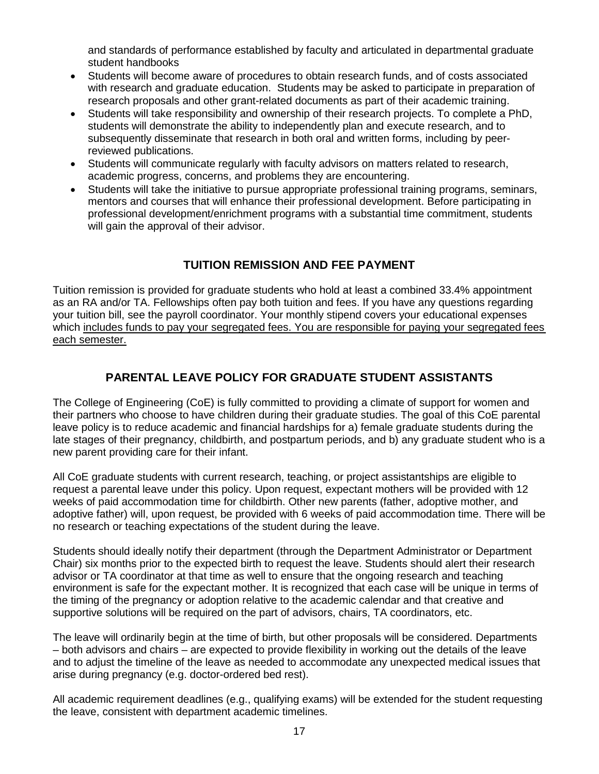and standards of performance established by faculty and articulated in departmental graduate student handbooks

- Students will become aware of procedures to obtain research funds, and of costs associated with research and graduate education. Students may be asked to participate in preparation of research proposals and other grant-related documents as part of their academic training.
- Students will take responsibility and ownership of their research projects. To complete a PhD, students will demonstrate the ability to independently plan and execute research, and to subsequently disseminate that research in both oral and written forms, including by peerreviewed publications.
- Students will communicate regularly with faculty advisors on matters related to research, academic progress, concerns, and problems they are encountering.
- Students will take the initiative to pursue appropriate professional training programs, seminars, mentors and courses that will enhance their professional development. Before participating in professional development/enrichment programs with a substantial time commitment, students will gain the approval of their advisor.

# **TUITION REMISSION AND FEE PAYMENT**

Tuition remission is provided for graduate students who hold at least a combined 33.4% appointment as an RA and/or TA. Fellowships often pay both tuition and fees. If you have any questions regarding your tuition bill, see the payroll coordinator. Your monthly stipend covers your educational expenses which includes funds to pay your segregated fees. You are responsible for paying your segregated fees each semester.

# **PARENTAL LEAVE POLICY FOR GRADUATE STUDENT ASSISTANTS**

The College of Engineering (CoE) is fully committed to providing a climate of support for women and their partners who choose to have children during their graduate studies. The goal of this CoE parental leave policy is to reduce academic and financial hardships for a) female graduate students during the late stages of their pregnancy, childbirth, and postpartum periods, and b) any graduate student who is a new parent providing care for their infant.

All CoE graduate students with current research, teaching, or project assistantships are eligible to request a parental leave under this policy. Upon request, expectant mothers will be provided with 12 weeks of paid accommodation time for childbirth. Other new parents (father, adoptive mother, and adoptive father) will, upon request, be provided with 6 weeks of paid accommodation time. There will be no research or teaching expectations of the student during the leave.

Students should ideally notify their department (through the Department Administrator or Department Chair) six months prior to the expected birth to request the leave. Students should alert their research advisor or TA coordinator at that time as well to ensure that the ongoing research and teaching environment is safe for the expectant mother. It is recognized that each case will be unique in terms of the timing of the pregnancy or adoption relative to the academic calendar and that creative and supportive solutions will be required on the part of advisors, chairs, TA coordinators, etc.

The leave will ordinarily begin at the time of birth, but other proposals will be considered. Departments – both advisors and chairs – are expected to provide flexibility in working out the details of the leave and to adjust the timeline of the leave as needed to accommodate any unexpected medical issues that arise during pregnancy (e.g. doctor-ordered bed rest).

All academic requirement deadlines (e.g., qualifying exams) will be extended for the student requesting the leave, consistent with department academic timelines.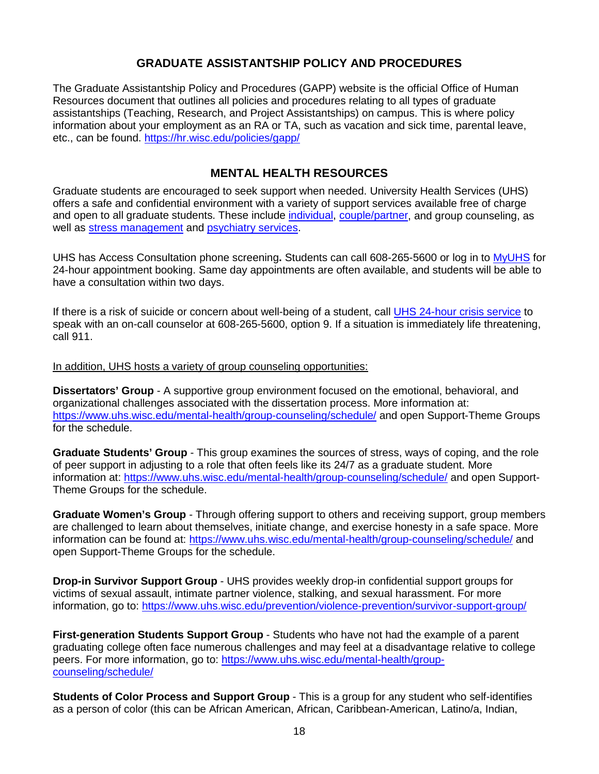# **GRADUATE ASSISTANTSHIP POLICY AND PROCEDURES**

The Graduate Assistantship Policy and Procedures (GAPP) website is the official Office of Human Resources document that outlines all policies and procedures relating to all types of graduate assistantships (Teaching, Research, and Project Assistantships) on campus. This is where policy information about your employment as an RA or TA, such as vacation and sick time, parental leave, etc., can be found.<https://hr.wisc.edu/policies/gapp/>

# **MENTAL HEALTH RESOURCES**

Graduate students are encouraged to seek support when needed. University Health Services (UHS) offers a safe and confidential environment with a variety of support services available free of charge and open to all graduate students. These include [individual,](https://www.uhs.wisc.edu/mental-health/individual/) [couple/partner,](https://www.uhs.wisc.edu/mental-health/couple-partner/) and group counseling, as well as [stress management](https://www.uhs.wisc.edu/wellness/stress/) and [psychiatry services.](https://www.uhs.wisc.edu/mental-health/psychiatry/)

UHS has Access Consultation phone screening**.** Students can call 608-265-5600 or log in to [MyUHS](https://myuhs.uhs.wisc.edu/login_dualauthentication.aspx) for 24-hour appointment booking. Same day appointments are often available, and students will be able to have a consultation within two days.

If there is a risk of suicide or concern about well-being of a student, call [UHS 24-hour crisis service](https://www.uhs.wisc.edu/mental-health/crisis/) to speak with an on-call counselor at 608-265-5600, option 9. If a situation is immediately life threatening, call 911.

#### In addition, UHS hosts a variety of group counseling opportunities:

**Dissertators' Group** - A supportive group environment focused on the emotional, behavioral, and organizational challenges associated with the dissertation process. More information at: <https://www.uhs.wisc.edu/mental-health/group-counseling/schedule/> and open Support-Theme Groups for the schedule.

**Graduate Students' Group** - This group examines the sources of stress, ways of coping, and the role of peer support in adjusting to a role that often feels like its 24/7 as a graduate student. More information at:<https://www.uhs.wisc.edu/mental-health/group-counseling/schedule/> and open Support-Theme Groups for the schedule.

**Graduate Women's Group** - Through offering support to others and receiving support, group members are challenged to learn about themselves, initiate change, and exercise honesty in a safe space. More information can be found at:<https://www.uhs.wisc.edu/mental-health/group-counseling/schedule/> and open Support-Theme Groups for the schedule.

**Drop-in Survivor Support Group** - UHS provides weekly drop-in confidential support groups for victims of sexual assault, intimate partner violence, stalking, and sexual harassment. For more information, go to:<https://www.uhs.wisc.edu/prevention/violence-prevention/survivor-support-group/>

**First-generation Students Support Group** - Students who have not had the example of a parent graduating college often face numerous challenges and may feel at a disadvantage relative to college peers. For more information, go to: [https://www.uhs.wisc.edu/mental-health/group](https://www.uhs.wisc.edu/mental-health/group-counseling/schedule/)[counseling/schedule/](https://www.uhs.wisc.edu/mental-health/group-counseling/schedule/)

**Students of Color Process and Support Group** - This is a group for any student who self-identifies as a person of color (this can be African American, African, Caribbean-American, Latino/a, Indian,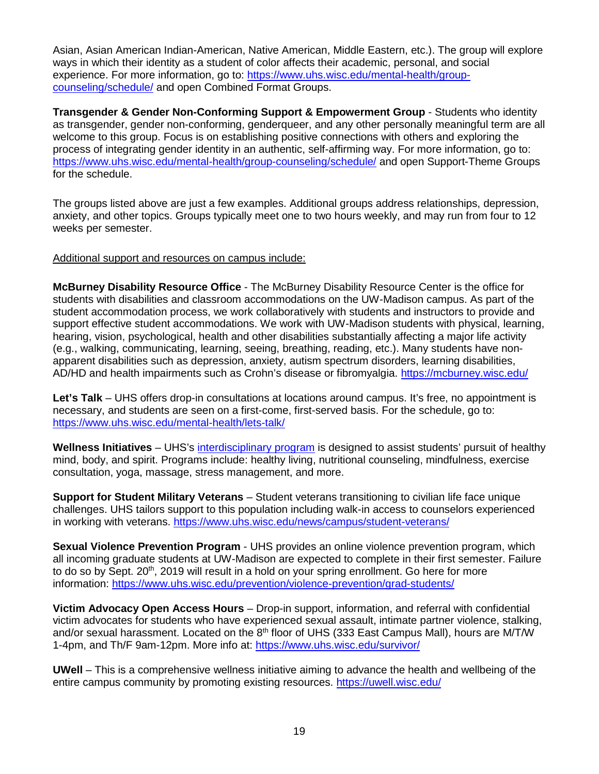Asian, Asian American Indian-American, Native American, Middle Eastern, etc.). The group will explore ways in which their identity as a student of color affects their academic, personal, and social experience. For more information, go to: [https://www.uhs.wisc.edu/mental-health/group](https://www.uhs.wisc.edu/mental-health/group-counseling/schedule/)[counseling/schedule/](https://www.uhs.wisc.edu/mental-health/group-counseling/schedule/) and open Combined Format Groups.

**Transgender & Gender Non-Conforming Support & Empowerment Group** - Students who identity as transgender, gender non-conforming, genderqueer, and any other personally meaningful term are all welcome to this group. Focus is on establishing positive connections with others and exploring the process of integrating gender identity in an authentic, self-affirming way. For more information, go to: <https://www.uhs.wisc.edu/mental-health/group-counseling/schedule/> and open Support-Theme Groups for the schedule.

The groups listed above are just a few examples. Additional groups address relationships, depression, anxiety, and other topics. Groups typically meet one to two hours weekly, and may run from four to 12 weeks per semester.

#### Additional support and resources on campus include:

**McBurney Disability Resource Office** - The McBurney Disability Resource Center is the office for students with disabilities and classroom accommodations on the UW-Madison campus. As part of the student accommodation process, we work collaboratively with students and instructors to provide and support effective student accommodations. We work with UW-Madison students with physical, learning, hearing, vision, psychological, health and other disabilities substantially affecting a major life activity (e.g., walking, communicating, learning, seeing, breathing, reading, etc.). Many students have nonapparent disabilities such as depression, anxiety, autism spectrum disorders, learning disabilities, AD/HD and health impairments such as Crohn's disease or fibromyalgia.<https://mcburney.wisc.edu/>

**Let's Talk** – UHS offers drop-in consultations at locations around campus. It's free, no appointment is necessary, and students are seen on a first-come, first-served basis. For the schedule, go to: <https://www.uhs.wisc.edu/mental-health/lets-talk/>

**Wellness Initiatives** – UHS's [interdisciplinary program](https://www.uhs.wisc.edu/wellness/) is designed to assist students' pursuit of healthy mind, body, and spirit. Programs include: healthy living, nutritional counseling, mindfulness, exercise consultation, yoga, massage, stress management, and more.

**Support for Student Military Veterans** – Student veterans transitioning to civilian life face unique challenges. UHS tailors support to this population including walk-in access to counselors experienced in working with veterans.<https://www.uhs.wisc.edu/news/campus/student-veterans/>

**Sexual Violence Prevention Program** - UHS provides an online violence prevention program, which all incoming graduate students at UW-Madison are expected to complete in their first semester. Failure to do so by Sept.  $20<sup>th</sup>$ , 2019 will result in a hold on your spring enrollment. Go here for more information:<https://www.uhs.wisc.edu/prevention/violence-prevention/grad-students/>

**Victim Advocacy Open Access Hours** – Drop-in support, information, and referral with confidential victim advocates for students who have experienced sexual assault, intimate partner violence, stalking, and/or sexual harassment. Located on the 8<sup>th</sup> floor of UHS (333 East Campus Mall), hours are M/T/W 1-4pm, and Th/F 9am-12pm. More info at:<https://www.uhs.wisc.edu/survivor/>

**UWell** – This is a comprehensive wellness initiative aiming to advance the health and wellbeing of the entire campus community by promoting existing resources.<https://uwell.wisc.edu/>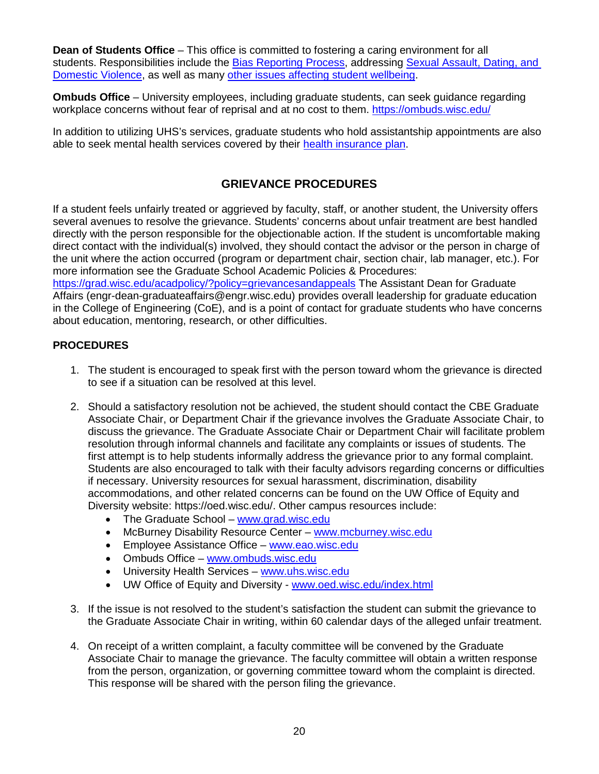**Dean of Students Office** – This office is committed to fostering a caring environment for all students. Responsibilities include the [Bias Reporting Process,](https://doso.students.wisc.edu/bias-or-hate-reporting/) addressing [Sexual Assault, Dating, and](https://doso.students.wisc.edu/sexual-assault-dating-and-domestic-violence/)  [Domestic Violence,](https://doso.students.wisc.edu/sexual-assault-dating-and-domestic-violence/) as well as many [other issues affecting student wellbeing.](https://doso.students.wisc.edu/student-assistance/)

**Ombuds Office** – University employees, including graduate students, can seek guidance regarding workplace concerns without fear of reprisal and at no cost to them.<https://ombuds.wisc.edu/>

In addition to utilizing UHS's services, graduate students who hold assistantship appointments are also able to seek mental health services covered by their [health insurance plan.](https://www.ohr.wisc.edu/benefits/new-emp/grad.aspx)

# **GRIEVANCE PROCEDURES**

If a student feels unfairly treated or aggrieved by faculty, staff, or another student, the University offers several avenues to resolve the grievance. Students' concerns about unfair treatment are best handled directly with the person responsible for the objectionable action. If the student is uncomfortable making direct contact with the individual(s) involved, they should contact the advisor or the person in charge of the unit where the action occurred (program or department chair, section chair, lab manager, etc.). For more information see the Graduate School Academic Policies & Procedures:

<https://grad.wisc.edu/acadpolicy/?policy=grievancesandappeals> The Assistant Dean for Graduate Affairs (engr-dean-graduateaffairs@engr.wisc.edu) provides overall leadership for graduate education in the College of Engineering (CoE), and is a point of contact for graduate students who have concerns about education, mentoring, research, or other difficulties.

## **PROCEDURES**

- 1. The student is encouraged to speak first with the person toward whom the grievance is directed to see if a situation can be resolved at this level.
- 2. Should a satisfactory resolution not be achieved, the student should contact the CBE Graduate Associate Chair, or Department Chair if the grievance involves the Graduate Associate Chair, to discuss the grievance. The Graduate Associate Chair or Department Chair will facilitate problem resolution through informal channels and facilitate any complaints or issues of students. The first attempt is to help students informally address the grievance prior to any formal complaint. Students are also encouraged to talk with their faculty advisors regarding concerns or difficulties if necessary. University resources for sexual harassment, discrimination, disability accommodations, and other related concerns can be found on the UW Office of Equity and Diversity website: https://oed.wisc.edu/. Other campus resources include:
	- The Graduate School [www.grad.wisc.edu](http://www.grad.wisc.edu/)
	- McBurney Disability Resource Center [www.mcburney.wisc.edu](http://www.mcburney.wisc.edu/)
	- Employee Assistance Office [www.eao.wisc.edu](http://www.eao.wisc.edu/)
	- Ombuds Office [www.ombuds.wisc.edu](http://www.ombuds.wisc.edu/)
	- University Health Services [www.uhs.wisc.edu](http://www.uhs.wisc.edu/)
	- UW Office of Equity and Diversity [www.oed.wisc.edu/index.html](http://www.oed.wisc.edu/index.html)
- 3. If the issue is not resolved to the student's satisfaction the student can submit the grievance to the Graduate Associate Chair in writing, within 60 calendar days of the alleged unfair treatment.
- 4. On receipt of a written complaint, a faculty committee will be convened by the Graduate Associate Chair to manage the grievance. The faculty committee will obtain a written response from the person, organization, or governing committee toward whom the complaint is directed. This response will be shared with the person filing the grievance.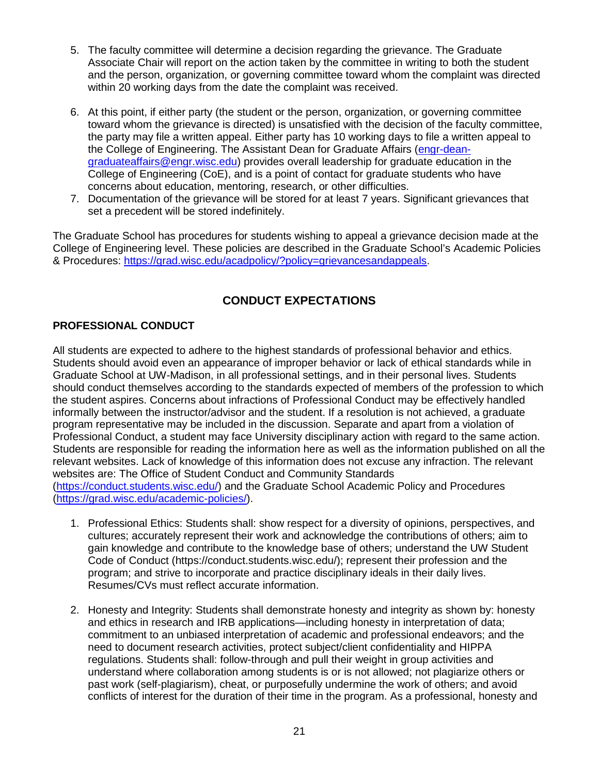- 5. The faculty committee will determine a decision regarding the grievance. The Graduate Associate Chair will report on the action taken by the committee in writing to both the student and the person, organization, or governing committee toward whom the complaint was directed within 20 working days from the date the complaint was received.
- 6. At this point, if either party (the student or the person, organization, or governing committee toward whom the grievance is directed) is unsatisfied with the decision of the faculty committee, the party may file a written appeal. Either party has 10 working days to file a written appeal to the College of Engineering. The Assistant Dean for Graduate Affairs [\(engr-dean](mailto:engr-dean-graduateaffairs@engr.wisc.edu)[graduateaffairs@engr.wisc.edu\)](mailto:engr-dean-graduateaffairs@engr.wisc.edu) provides overall leadership for graduate education in the College of Engineering (CoE), and is a point of contact for graduate students who have concerns about education, mentoring, research, or other difficulties.
- 7. Documentation of the grievance will be stored for at least 7 years. Significant grievances that set a precedent will be stored indefinitely.

The Graduate School has procedures for students wishing to appeal a grievance decision made at the College of Engineering level. These policies are described in the Graduate School's Academic Policies & Procedures: [https://grad.wisc.edu/acadpolicy/?policy=grievancesandappeals.](https://grad.wisc.edu/acadpolicy/?policy=grievancesandappeals)

# **CONDUCT EXPECTATIONS**

## **PROFESSIONAL CONDUCT**

All students are expected to adhere to the highest standards of professional behavior and ethics. Students should avoid even an appearance of improper behavior or lack of ethical standards while in Graduate School at UW-Madison, in all professional settings, and in their personal lives. Students should conduct themselves according to the standards expected of members of the profession to which the student aspires. Concerns about infractions of Professional Conduct may be effectively handled informally between the instructor/advisor and the student. If a resolution is not achieved, a graduate program representative may be included in the discussion. Separate and apart from a violation of Professional Conduct, a student may face University disciplinary action with regard to the same action. Students are responsible for reading the information here as well as the information published on all the relevant websites. Lack of knowledge of this information does not excuse any infraction. The relevant websites are: The Office of Student Conduct and Community Standards [\(https://conduct.students.wisc.edu/\)](https://conduct.students.wisc.edu/) and the Graduate School Academic Policy and Procedures [\(https://grad.wisc.edu/academic-policies/\)](https://grad.wisc.edu/academic-policies/).

- 1. Professional Ethics: Students shall: show respect for a diversity of opinions, perspectives, and cultures; accurately represent their work and acknowledge the contributions of others; aim to gain knowledge and contribute to the knowledge base of others; understand the UW Student Code of Conduct (https://conduct.students.wisc.edu/); represent their profession and the program; and strive to incorporate and practice disciplinary ideals in their daily lives. Resumes/CVs must reflect accurate information.
- 2. Honesty and Integrity: Students shall demonstrate honesty and integrity as shown by: honesty and ethics in research and IRB applications—including honesty in interpretation of data; commitment to an unbiased interpretation of academic and professional endeavors; and the need to document research activities, protect subject/client confidentiality and HIPPA regulations. Students shall: follow-through and pull their weight in group activities and understand where collaboration among students is or is not allowed; not plagiarize others or past work (self-plagiarism), cheat, or purposefully undermine the work of others; and avoid conflicts of interest for the duration of their time in the program. As a professional, honesty and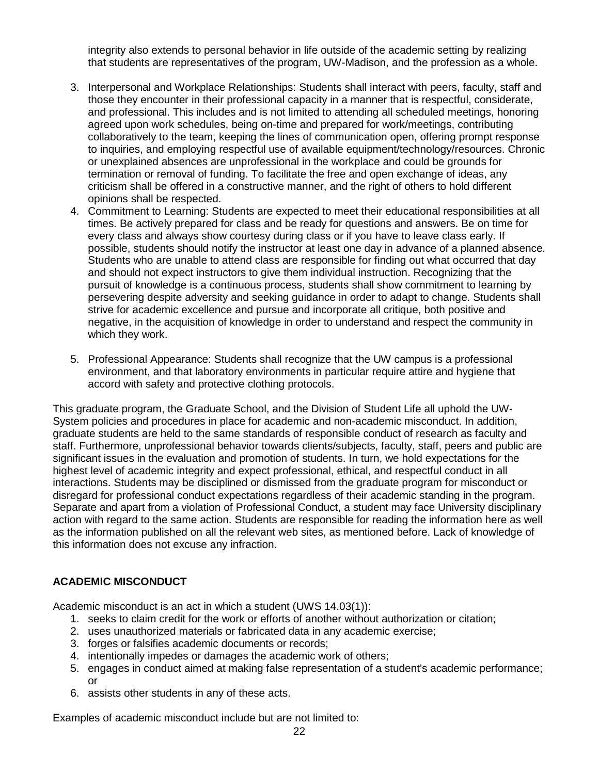integrity also extends to personal behavior in life outside of the academic setting by realizing that students are representatives of the program, UW-Madison, and the profession as a whole.

- 3. Interpersonal and Workplace Relationships: Students shall interact with peers, faculty, staff and those they encounter in their professional capacity in a manner that is respectful, considerate, and professional. This includes and is not limited to attending all scheduled meetings, honoring agreed upon work schedules, being on-time and prepared for work/meetings, contributing collaboratively to the team, keeping the lines of communication open, offering prompt response to inquiries, and employing respectful use of available equipment/technology/resources. Chronic or unexplained absences are unprofessional in the workplace and could be grounds for termination or removal of funding. To facilitate the free and open exchange of ideas, any criticism shall be offered in a constructive manner, and the right of others to hold different opinions shall be respected.
- 4. Commitment to Learning: Students are expected to meet their educational responsibilities at all times. Be actively prepared for class and be ready for questions and answers. Be on time for every class and always show courtesy during class or if you have to leave class early. If possible, students should notify the instructor at least one day in advance of a planned absence. Students who are unable to attend class are responsible for finding out what occurred that day and should not expect instructors to give them individual instruction. Recognizing that the pursuit of knowledge is a continuous process, students shall show commitment to learning by persevering despite adversity and seeking guidance in order to adapt to change. Students shall strive for academic excellence and pursue and incorporate all critique, both positive and negative, in the acquisition of knowledge in order to understand and respect the community in which they work.
- 5. Professional Appearance: Students shall recognize that the UW campus is a professional environment, and that laboratory environments in particular require attire and hygiene that accord with safety and protective clothing protocols.

This graduate program, the Graduate School, and the Division of Student Life all uphold the UW-System policies and procedures in place for academic and non-academic misconduct. In addition, graduate students are held to the same standards of responsible conduct of research as faculty and staff. Furthermore, unprofessional behavior towards clients/subjects, faculty, staff, peers and public are significant issues in the evaluation and promotion of students. In turn, we hold expectations for the highest level of academic integrity and expect professional, ethical, and respectful conduct in all interactions. Students may be disciplined or dismissed from the graduate program for misconduct or disregard for professional conduct expectations regardless of their academic standing in the program. Separate and apart from a violation of Professional Conduct, a student may face University disciplinary action with regard to the same action. Students are responsible for reading the information here as well as the information published on all the relevant web sites, as mentioned before. Lack of knowledge of this information does not excuse any infraction.

# **ACADEMIC MISCONDUCT**

Academic misconduct is an act in which a student (UWS 14.03(1)):

- 1. seeks to claim credit for the work or efforts of another without authorization or citation;
- 2. uses unauthorized materials or fabricated data in any academic exercise;
- 3. forges or falsifies academic documents or records;
- 4. intentionally impedes or damages the academic work of others;
- 5. engages in conduct aimed at making false representation of a student's academic performance; or
- 6. assists other students in any of these acts.

Examples of academic misconduct include but are not limited to: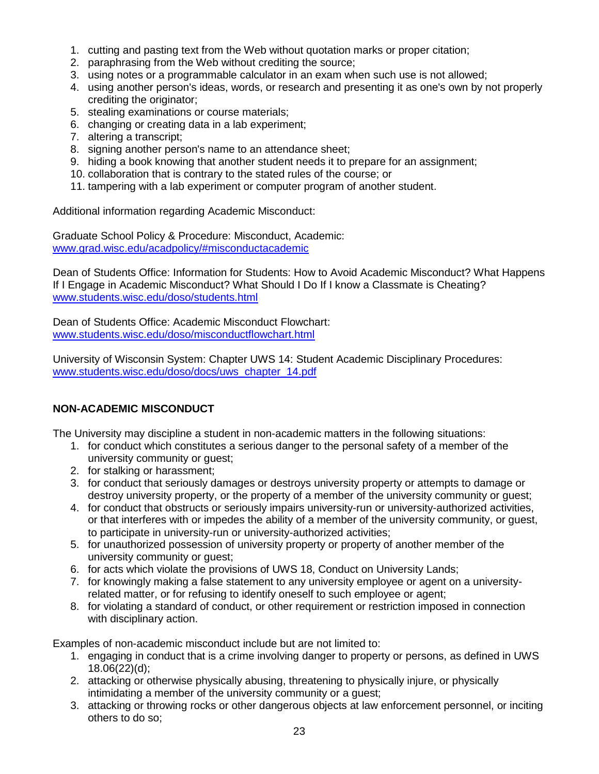- 1. cutting and pasting text from the Web without quotation marks or proper citation;
- 2. paraphrasing from the Web without crediting the source;
- 3. using notes or a programmable calculator in an exam when such use is not allowed;
- 4. using another person's ideas, words, or research and presenting it as one's own by not properly crediting the originator;
- 5. stealing examinations or course materials;
- 6. changing or creating data in a lab experiment;
- 7. altering a transcript;
- 8. signing another person's name to an attendance sheet;
- 9. hiding a book knowing that another student needs it to prepare for an assignment;
- 10. collaboration that is contrary to the stated rules of the course; or
- 11. tampering with a lab experiment or computer program of another student.

Additional information regarding Academic Misconduct:

Graduate School Policy & Procedure: Misconduct, Academic: [www.grad.wisc.edu/acadpolicy/#misconductacademic](http://www.grad.wisc.edu/acadpolicy/#misconductacademic)

Dean of Students Office: Information for Students: How to Avoid Academic Misconduct? What Happens If I Engage in Academic Misconduct? What Should I Do If I know a Classmate is Cheating? [www.students.wisc.edu/doso/students.html](http://www.students.wisc.edu/doso/students.html)

Dean of Students Office: Academic Misconduct Flowchart: [www.students.wisc.edu/doso/misconductflowchart.html](http://www.students.wisc.edu/doso/misconductflowchart.html)

University of Wisconsin System: Chapter UWS 14: Student Academic Disciplinary Procedures: [www.students.wisc.edu/doso/docs/uws\\_chapter\\_14.pdf](http://www.students.wisc.edu/doso/docs/uws_chapter_14.pdf)

# **NON-ACADEMIC MISCONDUCT**

The University may discipline a student in non-academic matters in the following situations:

- 1. for conduct which constitutes a serious danger to the personal safety of a member of the university community or guest;
- 2. for stalking or harassment;
- 3. for conduct that seriously damages or destroys university property or attempts to damage or destroy university property, or the property of a member of the university community or guest;
- 4. for conduct that obstructs or seriously impairs university-run or university-authorized activities, or that interferes with or impedes the ability of a member of the university community, or guest, to participate in university-run or university-authorized activities;
- 5. for unauthorized possession of university property or property of another member of the university community or guest;
- 6. for acts which violate the provisions of UWS 18, Conduct on University Lands;
- 7. for knowingly making a false statement to any university employee or agent on a universityrelated matter, or for refusing to identify oneself to such employee or agent;
- 8. for violating a standard of conduct, or other requirement or restriction imposed in connection with disciplinary action.

Examples of non-academic misconduct include but are not limited to:

- 1. engaging in conduct that is a crime involving danger to property or persons, as defined in UWS 18.06(22)(d);
- 2. attacking or otherwise physically abusing, threatening to physically injure, or physically intimidating a member of the university community or a guest;
- 3. attacking or throwing rocks or other dangerous objects at law enforcement personnel, or inciting others to do so;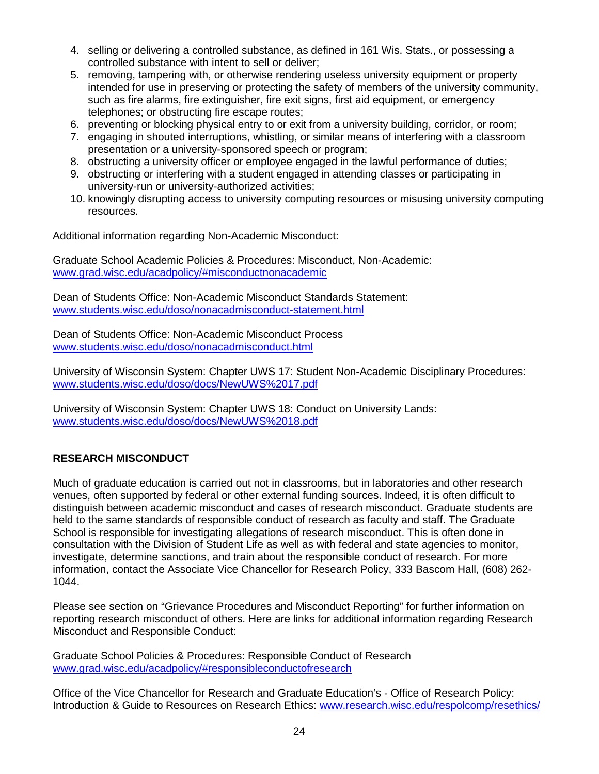- 4. selling or delivering a controlled substance, as defined in 161 Wis. Stats., or possessing a controlled substance with intent to sell or deliver;
- 5. removing, tampering with, or otherwise rendering useless university equipment or property intended for use in preserving or protecting the safety of members of the university community, such as fire alarms, fire extinguisher, fire exit signs, first aid equipment, or emergency telephones; or obstructing fire escape routes;
- 6. preventing or blocking physical entry to or exit from a university building, corridor, or room;
- 7. engaging in shouted interruptions, whistling, or similar means of interfering with a classroom presentation or a university-sponsored speech or program;
- 8. obstructing a university officer or employee engaged in the lawful performance of duties;
- 9. obstructing or interfering with a student engaged in attending classes or participating in university-run or university-authorized activities;
- 10. knowingly disrupting access to university computing resources or misusing university computing resources.

Additional information regarding Non-Academic Misconduct:

Graduate School Academic Policies & Procedures: Misconduct, Non-Academic: [www.grad.wisc.edu/acadpolicy/#misconductnonacademic](http://www.grad.wisc.edu/acadpolicy/#misconductnonacademic)

Dean of Students Office: Non-Academic Misconduct Standards Statement: [www.students.wisc.edu/doso/nonacadmisconduct-statement.html](http://www.students.wisc.edu/doso/nonacadmisconduct-statement.html)

Dean of Students Office: Non-Academic Misconduct Process [www.students.wisc.edu/doso/nonacadmisconduct.html](http://www.students.wisc.edu/doso/nonacadmisconduct.html)

University of Wisconsin System: Chapter UWS 17: Student Non-Academic Disciplinary Procedures: [www.students.wisc.edu/doso/docs/NewUWS%2017.pdf](http://www.students.wisc.edu/doso/docs/NewUWS%2017.pdf)

University of Wisconsin System: Chapter UWS 18: Conduct on University Lands: [www.students.wisc.edu/doso/docs/NewUWS%2018.pdf](http://www.students.wisc.edu/doso/docs/NewUWS%2018.pdf)

## **RESEARCH MISCONDUCT**

Much of graduate education is carried out not in classrooms, but in laboratories and other research venues, often supported by federal or other external funding sources. Indeed, it is often difficult to distinguish between academic misconduct and cases of research misconduct. Graduate students are held to the same standards of responsible conduct of research as faculty and staff. The Graduate School is responsible for investigating allegations of research misconduct. This is often done in consultation with the Division of Student Life as well as with federal and state agencies to monitor, investigate, determine sanctions, and train about the responsible conduct of research. For more information, contact the Associate Vice Chancellor for Research Policy, 333 Bascom Hall, (608) 262- 1044.

Please see section on "Grievance Procedures and Misconduct Reporting" for further information on reporting research misconduct of others. Here are links for additional information regarding Research Misconduct and Responsible Conduct:

Graduate School Policies & Procedures: Responsible Conduct of Research [www.grad.wisc.edu/acadpolicy/#responsibleconductofresearch](http://www.grad.wisc.edu/acadpolicy/#responsibleconductofresearch)

Office of the Vice Chancellor for Research and Graduate Education's - Office of Research Policy: Introduction & Guide to Resources on Research Ethics: [www.research.wisc.edu/respolcomp/resethics/](http://www.research.wisc.edu/respolcomp/resethics/)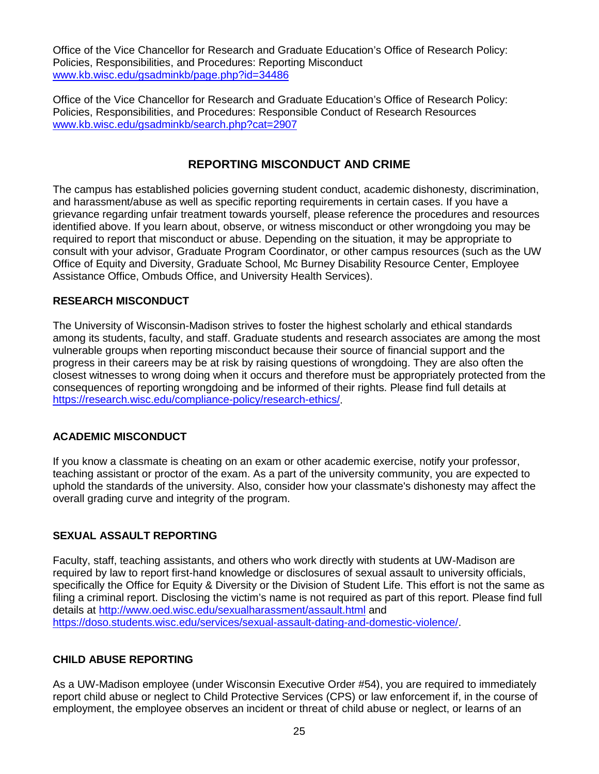Office of the Vice Chancellor for Research and Graduate Education's Office of Research Policy: Policies, Responsibilities, and Procedures: Reporting Misconduct [www.kb.wisc.edu/gsadminkb/page.php?id=34486](http://www.kb.wisc.edu/gsadminkb/page.php?id=34486)

Office of the Vice Chancellor for Research and Graduate Education's Office of Research Policy: Policies, Responsibilities, and Procedures: Responsible Conduct of Research Resources [www.kb.wisc.edu/gsadminkb/search.php?cat=2907](http://www.kb.wisc.edu/gsadminkb/search.php?cat=2907)

# **REPORTING MISCONDUCT AND CRIME**

The campus has established policies governing student conduct, academic dishonesty, discrimination, and harassment/abuse as well as specific reporting requirements in certain cases. If you have a grievance regarding unfair treatment towards yourself, please reference the procedures and resources identified above. If you learn about, observe, or witness misconduct or other wrongdoing you may be required to report that misconduct or abuse. Depending on the situation, it may be appropriate to consult with your advisor, Graduate Program Coordinator, or other campus resources (such as the UW Office of Equity and Diversity, Graduate School, Mc Burney Disability Resource Center, Employee Assistance Office, Ombuds Office, and University Health Services).

#### **RESEARCH MISCONDUCT**

The University of Wisconsin-Madison strives to foster the highest scholarly and ethical standards among its students, faculty, and staff. Graduate students and research associates are among the most vulnerable groups when reporting misconduct because their source of financial support and the progress in their careers may be at risk by raising questions of wrongdoing. They are also often the closest witnesses to wrong doing when it occurs and therefore must be appropriately protected from the consequences of reporting wrongdoing and be informed of their rights. Please find full details at [https://research.wisc.edu/compliance-policy/research-ethics/.](https://research.wisc.edu/compliance-policy/research-ethics/)

#### **ACADEMIC MISCONDUCT**

If you know a classmate is cheating on an exam or other academic exercise, notify your professor, teaching assistant or proctor of the exam. As a part of the university community, you are expected to uphold the standards of the university. Also, consider how your classmate's dishonesty may affect the overall grading curve and integrity of the program.

## **SEXUAL ASSAULT REPORTING**

Faculty, staff, teaching assistants, and others who work directly with students at UW-Madison are required by law to report first-hand knowledge or disclosures of sexual assault to university officials, specifically the Office for Equity & Diversity or the Division of Student Life. This effort is not the same as filing a criminal report. Disclosing the victim's name is not required as part of this report. Please find full details at<http://www.oed.wisc.edu/sexualharassment/assault.html> and [https://doso.students.wisc.edu/services/sexual-assault-dating-and-domestic-violence/.](https://doso.students.wisc.edu/services/sexual-assault-dating-and-domestic-violence/)

#### **CHILD ABUSE REPORTING**

As a UW-Madison employee (under Wisconsin Executive Order #54), you are required to immediately report child abuse or neglect to Child Protective Services (CPS) or law enforcement if, in the course of employment, the employee observes an incident or threat of child abuse or neglect, or learns of an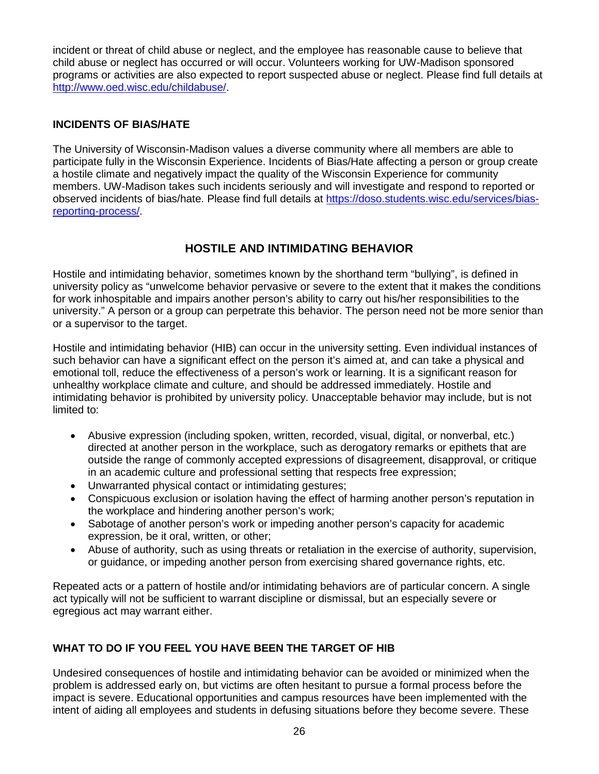incident or threat of child abuse or neglect, and the employee has reasonable cause to believe that child abuse or neglect has occurred or will occur. Volunteers working for UW-Madison sponsored programs or activities are also expected to report suspected abuse or neglect. Please find full details at [http://www.oed.wisc.edu/childabuse/.](http://www.oed.wisc.edu/childabuse/)

# **INCIDENTS OF BIAS/HATE**

The University of Wisconsin-Madison values a diverse community where all members are able to participate fully in the Wisconsin Experience. Incidents of Bias/Hate affecting a person or group create a hostile climate and negatively impact the quality of the Wisconsin Experience for community members. UW-Madison takes such incidents seriously and will investigate and respond to reported or observed incidents of bias/hate. Please find full details at [https://doso.students.wisc.edu/services/bias](https://doso.students.wisc.edu/services/bias-reporting-process/)[reporting-process/.](https://doso.students.wisc.edu/services/bias-reporting-process/)

# **HOSTILE AND INTIMIDATING BEHAVIOR**

Hostile and intimidating behavior, sometimes known by the shorthand term "bullying", is defined in university policy as "unwelcome behavior pervasive or severe to the extent that it makes the conditions for work inhospitable and impairs another person's ability to carry out his/her responsibilities to the university." A person or a group can perpetrate this behavior. The person need not be more senior than or a supervisor to the target.

Hostile and intimidating behavior (HIB) can occur in the university setting. Even individual instances of such behavior can have a significant effect on the person it's aimed at, and can take a physical and emotional toll, reduce the effectiveness of a person's work or learning. It is a significant reason for unhealthy workplace climate and culture, and should be addressed immediately. Hostile and intimidating behavior is prohibited by university policy. Unacceptable behavior may include, but is not limited to:

- Abusive expression (including spoken, written, recorded, visual, digital, or nonverbal, etc.) directed at another person in the workplace, such as derogatory remarks or epithets that are outside the range of commonly accepted expressions of disagreement, disapproval, or critique in an academic culture and professional setting that respects free expression;
- Unwarranted physical contact or intimidating gestures;
- Conspicuous exclusion or isolation having the effect of harming another person's reputation in the workplace and hindering another person's work;
- Sabotage of another person's work or impeding another person's capacity for academic expression, be it oral, written, or other;
- Abuse of authority, such as using threats or retaliation in the exercise of authority, supervision, or guidance, or impeding another person from exercising shared governance rights, etc.

Repeated acts or a pattern of hostile and/or intimidating behaviors are of particular concern. A single act typically will not be sufficient to warrant discipline or dismissal, but an especially severe or egregious act may warrant either.

# **WHAT TO DO IF YOU FEEL YOU HAVE BEEN THE TARGET OF HIB**

Undesired consequences of hostile and intimidating behavior can be avoided or minimized when the problem is addressed early on, but victims are often hesitant to pursue a formal process before the impact is severe. Educational opportunities and campus resources have been implemented with the intent of aiding all employees and students in defusing situations before they become severe. These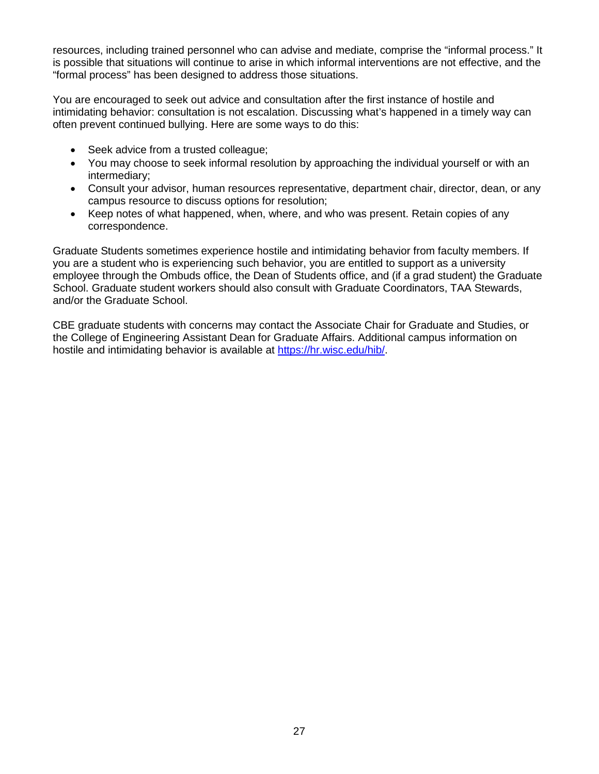resources, including trained personnel who can advise and mediate, comprise the "informal process." It is possible that situations will continue to arise in which informal interventions are not effective, and the "formal process" has been designed to address those situations.

You are encouraged to seek out advice and consultation after the first instance of hostile and intimidating behavior: consultation is not escalation. Discussing what's happened in a timely way can often prevent continued bullying. Here are some ways to do this:

- Seek advice from a trusted colleague;
- You may choose to seek informal resolution by approaching the individual yourself or with an intermediary;
- Consult your advisor, human resources representative, department chair, director, dean, or any campus resource to discuss options for resolution;
- Keep notes of what happened, when, where, and who was present. Retain copies of any correspondence.

Graduate Students sometimes experience hostile and intimidating behavior from faculty members. If you are a student who is experiencing such behavior, you are entitled to support as a university employee through the Ombuds office, the Dean of Students office, and (if a grad student) the Graduate School. Graduate student workers should also consult with Graduate Coordinators, TAA Stewards, and/or the Graduate School.

CBE graduate students with concerns may contact the Associate Chair for Graduate and Studies, or the College of Engineering Assistant Dean for Graduate Affairs. Additional campus information on hostile and intimidating behavior is available at [https://hr.wisc.edu/hib/.](https://hr.wisc.edu/hib/)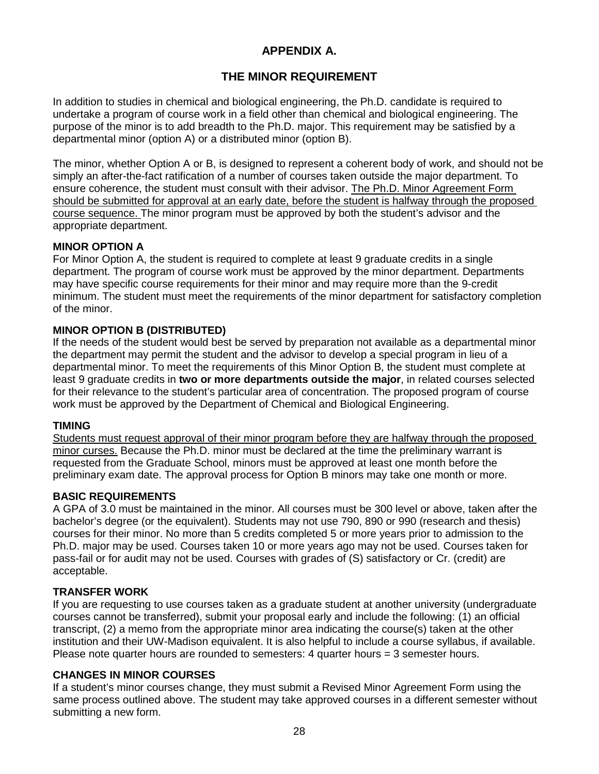# **APPENDIX A.**

# **THE MINOR REQUIREMENT**

In addition to studies in chemical and biological engineering, the Ph.D. candidate is required to undertake a program of course work in a field other than chemical and biological engineering. The purpose of the minor is to add breadth to the Ph.D. major. This requirement may be satisfied by a departmental minor (option A) or a distributed minor (option B).

The minor, whether Option A or B, is designed to represent a coherent body of work, and should not be simply an after-the-fact ratification of a number of courses taken outside the major department. To ensure coherence, the student must consult with their advisor. The Ph.D. Minor Agreement Form should be submitted for approval at an early date, before the student is halfway through the proposed course sequence. The minor program must be approved by both the student's advisor and the appropriate department.

## **MINOR OPTION A**

For Minor Option A, the student is required to complete at least 9 graduate credits in a single department. The program of course work must be approved by the minor department. Departments may have specific course requirements for their minor and may require more than the 9-credit minimum. The student must meet the requirements of the minor department for satisfactory completion of the minor.

## **MINOR OPTION B (DISTRIBUTED)**

If the needs of the student would best be served by preparation not available as a departmental minor the department may permit the student and the advisor to develop a special program in lieu of a departmental minor. To meet the requirements of this Minor Option B, the student must complete at least 9 graduate credits in **two or more departments outside the major**, in related courses selected for their relevance to the student's particular area of concentration. The proposed program of course work must be approved by the Department of Chemical and Biological Engineering.

#### **TIMING**

Students must request approval of their minor program before they are halfway through the proposed minor curses. Because the Ph.D. minor must be declared at the time the preliminary warrant is requested from the Graduate School, minors must be approved at least one month before the preliminary exam date. The approval process for Option B minors may take one month or more.

## **BASIC REQUIREMENTS**

A GPA of 3.0 must be maintained in the minor. All courses must be 300 level or above, taken after the bachelor's degree (or the equivalent). Students may not use 790, 890 or 990 (research and thesis) courses for their minor. No more than 5 credits completed 5 or more years prior to admission to the Ph.D. major may be used. Courses taken 10 or more years ago may not be used. Courses taken for pass-fail or for audit may not be used. Courses with grades of (S) satisfactory or Cr. (credit) are acceptable.

## **TRANSFER WORK**

If you are requesting to use courses taken as a graduate student at another university (undergraduate courses cannot be transferred), submit your proposal early and include the following: (1) an official transcript, (2) a memo from the appropriate minor area indicating the course(s) taken at the other institution and their UW-Madison equivalent. It is also helpful to include a course syllabus, if available. Please note quarter hours are rounded to semesters: 4 quarter hours = 3 semester hours.

## **CHANGES IN MINOR COURSES**

If a student's minor courses change, they must submit a Revised Minor Agreement Form using the same process outlined above. The student may take approved courses in a different semester without submitting a new form.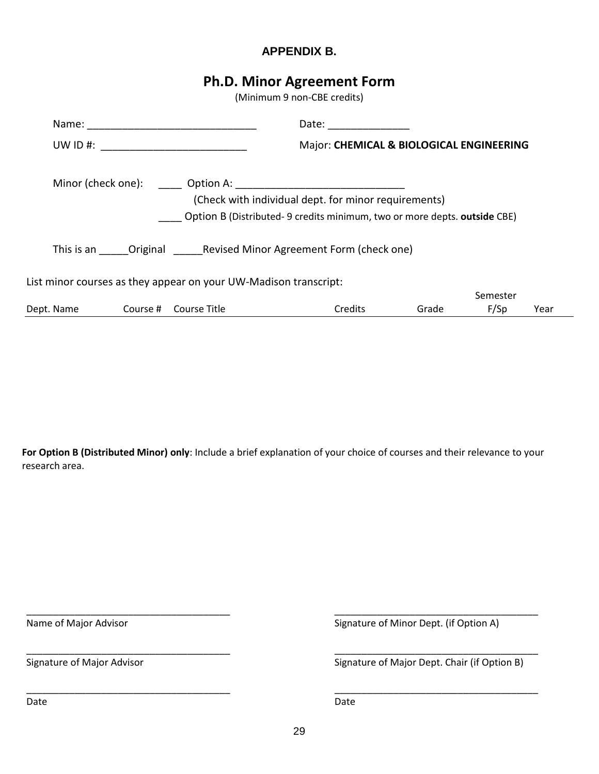# **APPENDIX B.**

# **Ph.D. Minor Agreement Form**

(Minimum 9 non-CBE credits)

|            |                                                                             |                                                                  | Date: the contract of the contract of the contract of the contract of the contract of the contract of the contract of the contract of the contract of the contract of the contract of the contract of the contract of the cont |       |          |      |
|------------|-----------------------------------------------------------------------------|------------------------------------------------------------------|--------------------------------------------------------------------------------------------------------------------------------------------------------------------------------------------------------------------------------|-------|----------|------|
|            | Major: CHEMICAL & BIOLOGICAL ENGINEERING<br>UW ID #: $\qquad \qquad \qquad$ |                                                                  |                                                                                                                                                                                                                                |       |          |      |
|            |                                                                             |                                                                  |                                                                                                                                                                                                                                |       |          |      |
|            |                                                                             |                                                                  | (Check with individual dept. for minor requirements)                                                                                                                                                                           |       |          |      |
|            |                                                                             |                                                                  | Option B (Distributed-9 credits minimum, two or more depts. outside CBE)                                                                                                                                                       |       |          |      |
|            |                                                                             |                                                                  | This is an Original Revised Minor Agreement Form (check one)                                                                                                                                                                   |       |          |      |
|            |                                                                             | List minor courses as they appear on your UW-Madison transcript: |                                                                                                                                                                                                                                |       |          |      |
|            |                                                                             |                                                                  |                                                                                                                                                                                                                                |       | Semester |      |
| Dept. Name |                                                                             | Course # Course Title                                            | Credits                                                                                                                                                                                                                        | Grade | F/Sp     | Year |

**For Option B (Distributed Minor) only**: Include a brief explanation of your choice of courses and their relevance to your research area.

\_\_\_\_\_\_\_\_\_\_\_\_\_\_\_\_\_\_\_\_\_\_\_\_\_\_\_\_\_\_\_\_\_\_\_\_\_\_ \_\_\_\_\_\_\_\_\_\_\_\_\_\_\_\_\_\_\_\_\_\_\_\_\_\_\_\_\_\_\_\_\_\_\_\_\_\_

\_\_\_\_\_\_\_\_\_\_\_\_\_\_\_\_\_\_\_\_\_\_\_\_\_\_\_\_\_\_\_\_\_\_\_\_\_\_ \_\_\_\_\_\_\_\_\_\_\_\_\_\_\_\_\_\_\_\_\_\_\_\_\_\_\_\_\_\_\_\_\_\_\_\_\_\_

\_\_\_\_\_\_\_\_\_\_\_\_\_\_\_\_\_\_\_\_\_\_\_\_\_\_\_\_\_\_\_\_\_\_\_\_\_\_ \_\_\_\_\_\_\_\_\_\_\_\_\_\_\_\_\_\_\_\_\_\_\_\_\_\_\_\_\_\_\_\_\_\_\_\_\_\_

Name of Major Advisor **Signature of Minor Dept.** (if Option A)

Signature of Major Advisor **Signature of Major Dept. Chair (if Option B)** 

Date **Date Date Date Date Date Date Date Date Date**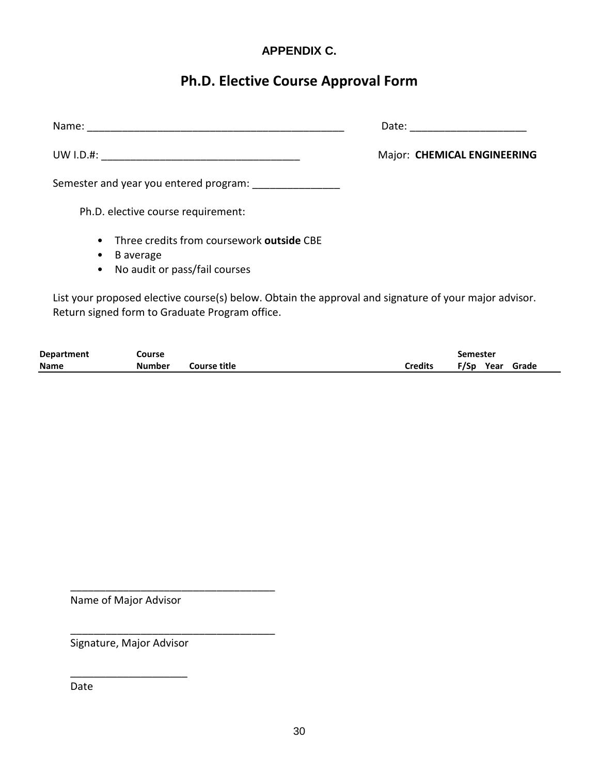# **APPENDIX C.**

# **Ph.D. Elective Course Approval Form**

| Name:                                                                                                                                                   | Date:                       |
|---------------------------------------------------------------------------------------------------------------------------------------------------------|-----------------------------|
|                                                                                                                                                         | Major: CHEMICAL ENGINEERING |
| Semester and year you entered program:                                                                                                                  |                             |
| Ph.D. elective course requirement:                                                                                                                      |                             |
| • Three credits from coursework outside CBE<br>B average<br>٠<br>• No audit or pass/fail courses                                                        |                             |
| List your proposed elective course(s) below. Obtain the approval and signature of your major advisor.<br>Return signed form to Graduate Program office. |                             |

| <b>Department</b> | Course |              | <b>Semester</b> |  |  |                 |
|-------------------|--------|--------------|-----------------|--|--|-----------------|
| <b>Name</b>       | Number | Course title | Credits         |  |  | F/Sp Year Grade |

Name of Major Advisor

\_\_\_\_\_\_\_\_\_\_\_\_\_\_\_\_\_\_\_\_\_\_\_\_\_\_\_\_\_\_\_\_\_\_\_

\_\_\_\_\_\_\_\_\_\_\_\_\_\_\_\_\_\_\_\_\_\_\_\_\_\_\_\_\_\_\_\_\_\_\_

Signature, Major Advisor

 $\mathcal{L}_\text{max}$  and  $\mathcal{L}_\text{max}$  and  $\mathcal{L}_\text{max}$ 

Date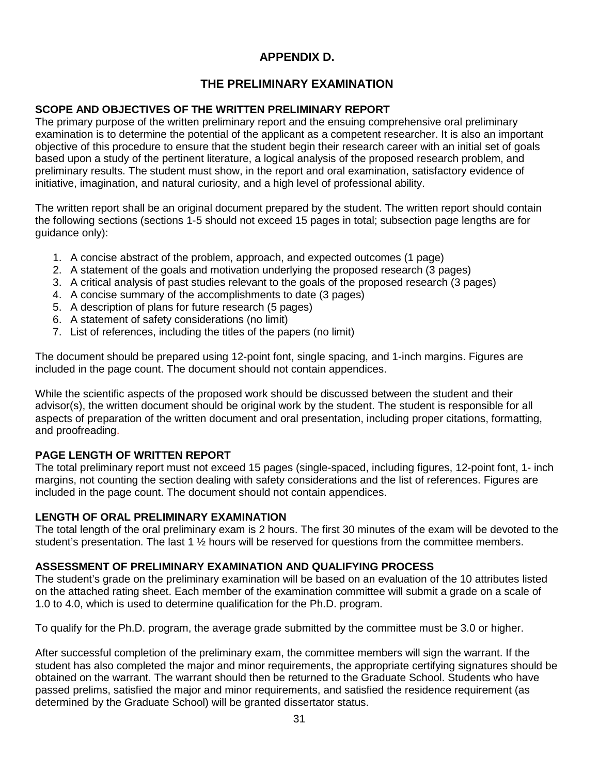# **APPENDIX D.**

# **THE PRELIMINARY EXAMINATION**

# **SCOPE AND OBJECTIVES OF THE WRITTEN PRELIMINARY REPORT**

The primary purpose of the written preliminary report and the ensuing comprehensive oral preliminary examination is to determine the potential of the applicant as a competent researcher. It is also an important objective of this procedure to ensure that the student begin their research career with an initial set of goals based upon a study of the pertinent literature, a logical analysis of the proposed research problem, and preliminary results. The student must show, in the report and oral examination, satisfactory evidence of initiative, imagination, and natural curiosity, and a high level of professional ability.

The written report shall be an original document prepared by the student. The written report should contain the following sections (sections 1-5 should not exceed 15 pages in total; subsection page lengths are for quidance only):

- 1. A concise abstract of the problem, approach, and expected outcomes (1 page)
- 2. A statement of the goals and motivation underlying the proposed research (3 pages)
- 3. A critical analysis of past studies relevant to the goals of the proposed research (3 pages)
- 4. A concise summary of the accomplishments to date (3 pages)
- 5. A description of plans for future research (5 pages)
- 6. A statement of safety considerations (no limit)
- 7. List of references, including the titles of the papers (no limit)

The document should be prepared using 12-point font, single spacing, and 1-inch margins. Figures are included in the page count. The document should not contain appendices.

While the scientific aspects of the proposed work should be discussed between the student and their advisor(s), the written document should be original work by the student. The student is responsible for all aspects of preparation of the written document and oral presentation, including proper citations, formatting, and proofreading.

# **PAGE LENGTH OF WRITTEN REPORT**

The total preliminary report must not exceed 15 pages (single-spaced, including figures, 12-point font, 1- inch margins, not counting the section dealing with safety considerations and the list of references. Figures are included in the page count. The document should not contain appendices.

# **LENGTH OF ORAL PRELIMINARY EXAMINATION**

The total length of the oral preliminary exam is 2 hours. The first 30 minutes of the exam will be devoted to the student's presentation. The last 1 ½ hours will be reserved for questions from the committee members.

# **ASSESSMENT OF PRELIMINARY EXAMINATION AND QUALIFYING PROCESS**

The student's grade on the preliminary examination will be based on an evaluation of the 10 attributes listed on the attached rating sheet. Each member of the examination committee will submit a grade on a scale of 1.0 to 4.0, which is used to determine qualification for the Ph.D. program.

To qualify for the Ph.D. program, the average grade submitted by the committee must be 3.0 or higher.

After successful completion of the preliminary exam, the committee members will sign the warrant. If the student has also completed the major and minor requirements, the appropriate certifying signatures should be obtained on the warrant. The warrant should then be returned to the Graduate School. Students who have passed prelims, satisfied the major and minor requirements, and satisfied the residence requirement (as determined by the Graduate School) will be granted dissertator status.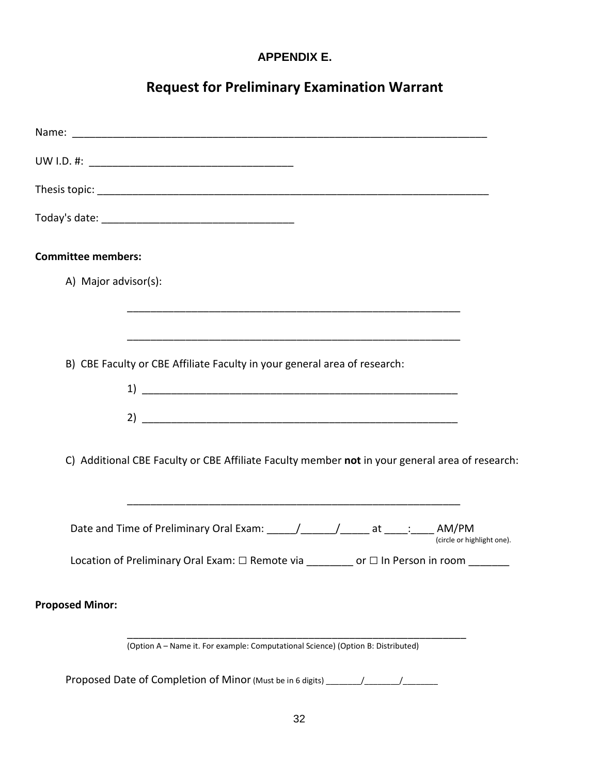# **APPENDIX E.**

# **Request for Preliminary Examination Warrant**

| <b>Committee members:</b>                                                                                             |
|-----------------------------------------------------------------------------------------------------------------------|
| A) Major advisor(s):                                                                                                  |
|                                                                                                                       |
|                                                                                                                       |
| B) CBE Faculty or CBE Affiliate Faculty in your general area of research:                                             |
|                                                                                                                       |
|                                                                                                                       |
| C) Additional CBE Faculty or CBE Affiliate Faculty member not in your general area of research:                       |
| Date and Time of Preliminary Oral Exam: ______/________/_________ at _____: _____ AM/PM<br>(circle or highlight one). |
| Location of Preliminary Oral Exam: □ Remote via ________ or □ In Person in room ______                                |
| <b>Proposed Minor:</b>                                                                                                |
| (Option A - Name it. For example: Computational Science) (Option B: Distributed)                                      |
| Proposed Date of Completion of Minor (Must be in 6 digits) _____________________                                      |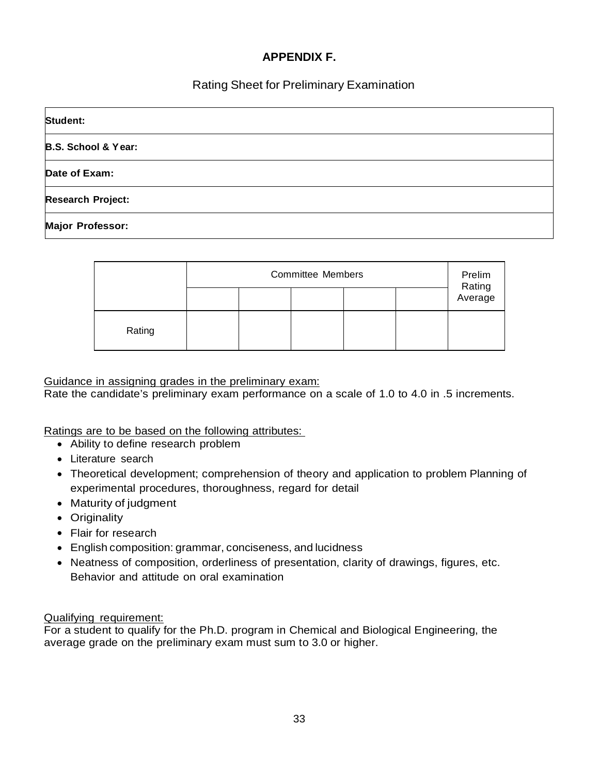# **APPENDIX F.**

# Rating Sheet for Preliminary Examination

| Student:                       |  |
|--------------------------------|--|
| <b>B.S. School &amp; Year:</b> |  |
| Date of Exam:                  |  |
| <b>Research Project:</b>       |  |
| <b>Major Professor:</b>        |  |

|        | <b>Committee Members</b> |  |  |  | Prelim |                   |
|--------|--------------------------|--|--|--|--------|-------------------|
|        |                          |  |  |  |        | Rating<br>Average |
| Rating |                          |  |  |  |        |                   |

#### Guidance in assigning grades in the preliminary exam:

Rate the candidate's preliminary exam performance on a scale of 1.0 to 4.0 in .5 increments.

Ratings are to be based on the following attributes:

- Ability to define research problem
- Literature search
- Theoretical development; comprehension of theory and application to problem Planning of experimental procedures, thoroughness, regard for detail
- Maturity of judgment
- Originality
- Flair for research
- English composition: grammar, conciseness, and lucidness
- Neatness of composition, orderliness of presentation, clarity of drawings, figures, etc. Behavior and attitude on oral examination

Qualifying requirement:

For a student to qualify for the Ph.D. program in Chemical and Biological Engineering, the average grade on the preliminary exam must sum to 3.0 or higher.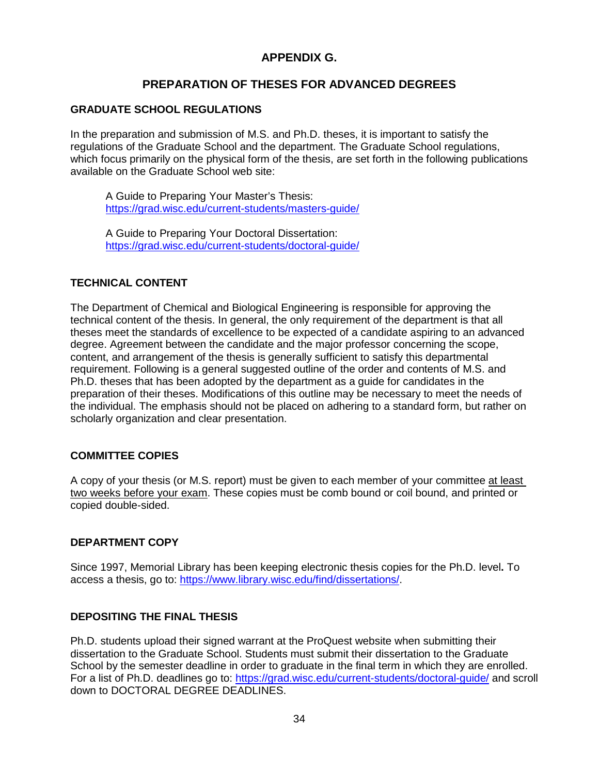# **APPENDIX G.**

# **PREPARATION OF THESES FOR ADVANCED DEGREES**

## **GRADUATE SCHOOL REGULATIONS**

In the preparation and submission of M.S. and Ph.D. theses, it is important to satisfy the regulations of the Graduate School and the department. The Graduate School regulations, which focus primarily on the physical form of the thesis, are set forth in the following publications available on the Graduate School web site:

A Guide to Preparing Your Master's Thesis: <https://grad.wisc.edu/current-students/masters-guide/>

A Guide to Preparing Your Doctoral Dissertation: <https://grad.wisc.edu/current-students/doctoral-guide/>

## **TECHNICAL CONTENT**

The Department of Chemical and Biological Engineering is responsible for approving the technical content of the thesis. In general, the only requirement of the department is that all theses meet the standards of excellence to be expected of a candidate aspiring to an advanced degree. Agreement between the candidate and the major professor concerning the scope, content, and arrangement of the thesis is generally sufficient to satisfy this departmental requirement. Following is a general suggested outline of the order and contents of M.S. and Ph.D. theses that has been adopted by the department as a guide for candidates in the preparation of their theses. Modifications of this outline may be necessary to meet the needs of the individual. The emphasis should not be placed on adhering to a standard form, but rather on scholarly organization and clear presentation.

## **COMMITTEE COPIES**

A copy of your thesis (or M.S. report) must be given to each member of your committee at least two weeks before your exam. These copies must be comb bound or coil bound, and printed or copied double-sided.

## **DEPARTMENT COPY**

Since 1997, Memorial Library has been keeping electronic thesis copies for the Ph.D. level**.** To access a thesis, go to: [https://www.library.wisc.edu/find/dissertations/.](https://www.library.wisc.edu/find/dissertations/)

## **DEPOSITING THE FINAL THESIS**

Ph.D. students upload their signed warrant at the ProQuest website when submitting their dissertation to the Graduate School. Students must submit their dissertation to the Graduate School by the semester deadline in order to graduate in the final term in which they are enrolled. For a list of Ph.D. deadlines go to:<https://grad.wisc.edu/current-students/doctoral-guide/> and scroll down to DOCTORAL DEGREE DEADLINES.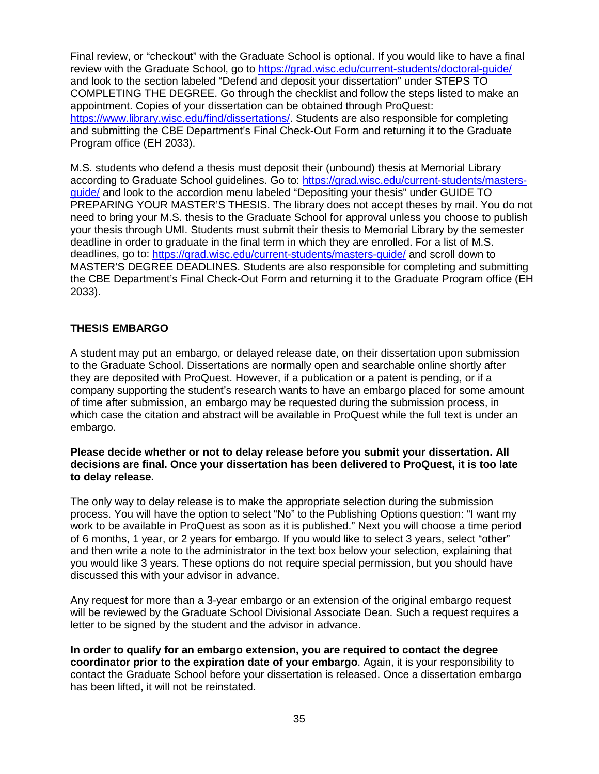Final review, or "checkout" with the Graduate School is optional. If you would like to have a final review with the Graduate School, go to<https://grad.wisc.edu/current-students/doctoral-guide/> and look to the section labeled "Defend and deposit your dissertation" under STEPS TO COMPLETING THE DEGREE. Go through the checklist and follow the steps listed to make an appointment. Copies of your dissertation can be obtained through ProQuest: [https://www.library.wisc.edu/find/dissertations/.](https://www.library.wisc.edu/find/dissertations/) Students are also responsible for completing and submitting the CBE Department's Final Check-Out Form and returning it to the Graduate Program office (EH 2033).

M.S. students who defend a thesis must deposit their (unbound) thesis at Memorial Library according to Graduate School guidelines. Go to: [https://grad.wisc.edu/current-students/masters](https://grad.wisc.edu/current-students/masters-guide/)[guide/](https://grad.wisc.edu/current-students/masters-guide/) and look to the accordion menu labeled "Depositing your thesis" under GUIDE TO PREPARING YOUR MASTER'S THESIS. The library does not accept theses by mail. You do not need to bring your M.S. thesis to the Graduate School for approval unless you choose to publish your thesis through UMI. Students must submit their thesis to Memorial Library by the semester deadline in order to graduate in the final term in which they are enrolled. For a list of M.S. deadlines, go to:<https://grad.wisc.edu/current-students/masters-guide/> and scroll down to MASTER'S DEGREE DEADLINES. Students are also responsible for completing and submitting the CBE Department's Final Check-Out Form and returning it to the Graduate Program office (EH 2033).

## **THESIS EMBARGO**

A student may put an embargo, or delayed release date, on their dissertation upon submission to the Graduate School. Dissertations are normally open and searchable online shortly after they are deposited with ProQuest. However, if a publication or a patent is pending, or if a company supporting the student's research wants to have an embargo placed for some amount of time after submission, an embargo may be requested during the submission process, in which case the citation and abstract will be available in ProQuest while the full text is under an embargo.

#### **Please decide whether or not to delay release before you submit your dissertation. All decisions are final. Once your dissertation has been delivered to ProQuest, it is too late to delay release.**

The only way to delay release is to make the appropriate selection during the submission process. You will have the option to select "No" to the Publishing Options question: "I want my work to be available in ProQuest as soon as it is published." Next you will choose a time period of 6 months, 1 year, or 2 years for embargo. If you would like to select 3 years, select "other" and then write a note to the administrator in the text box below your selection, explaining that you would like 3 years. These options do not require special permission, but you should have discussed this with your advisor in advance.

Any request for more than a 3-year embargo or an extension of the original embargo request will be reviewed by the Graduate School Divisional Associate Dean. Such a request requires a letter to be signed by the student and the advisor in advance.

**In order to qualify for an embargo extension, you are required to contact the degree coordinator prior to the expiration date of your embargo**. Again, it is your responsibility to contact the Graduate School before your dissertation is released. Once a dissertation embargo has been lifted, it will not be reinstated.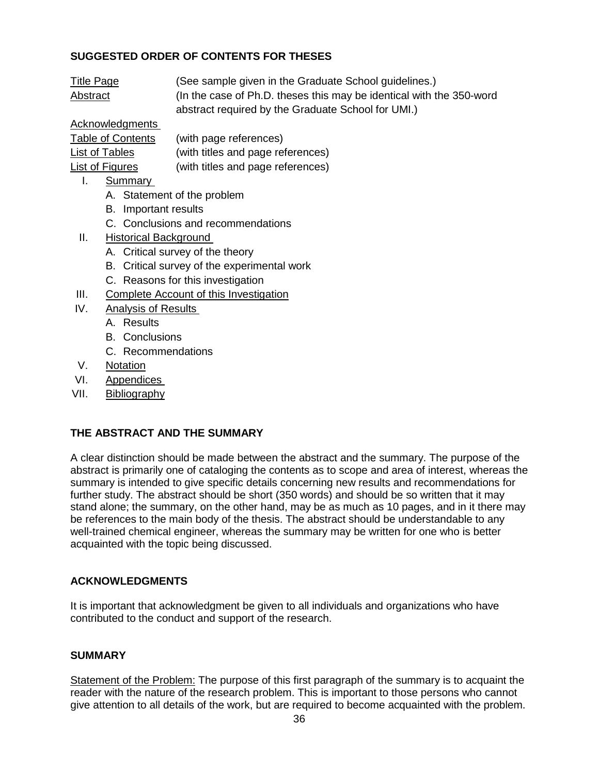# **SUGGESTED ORDER OF CONTENTS FOR THESES**

| <b>Title Page</b> | (See sample given in the Graduate School guidelines.)                |
|-------------------|----------------------------------------------------------------------|
| <u>Abstract</u>   | (In the case of Ph.D. theses this may be identical with the 350-word |
|                   | abstract required by the Graduate School for UMI.)                   |

# Acknowledgments

| <b>Table of Contents</b> | (with page references)            |
|--------------------------|-----------------------------------|
| List of Tables           | (with titles and page references) |
| <b>List of Figures</b>   | (with titles and page references) |

- I. Summary
	- A. Statement of the problem
	- B. Important results
	- C. Conclusions and recommendations
- II. Historical Background
	- A. Critical survey of the theory
	- B. Critical survey of the experimental work
	- C. Reasons for this investigation
- III. Complete Account of this Investigation
- IV. Analysis of Results
	- A. Results
	- B. Conclusions
	- C. Recommendations
- V. Notation
- VI. Appendices
- VII. Bibliography

## **THE ABSTRACT AND THE SUMMARY**

A clear distinction should be made between the abstract and the summary. The purpose of the abstract is primarily one of cataloging the contents as to scope and area of interest, whereas the summary is intended to give specific details concerning new results and recommendations for further study. The abstract should be short (350 words) and should be so written that it may stand alone; the summary, on the other hand, may be as much as 10 pages, and in it there may be references to the main body of the thesis. The abstract should be understandable to any well-trained chemical engineer, whereas the summary may be written for one who is better acquainted with the topic being discussed.

## **ACKNOWLEDGMENTS**

It is important that acknowledgment be given to all individuals and organizations who have contributed to the conduct and support of the research.

## **SUMMARY**

Statement of the Problem: The purpose of this first paragraph of the summary is to acquaint the reader with the nature of the research problem. This is important to those persons who cannot give attention to all details of the work, but are required to become acquainted with the problem.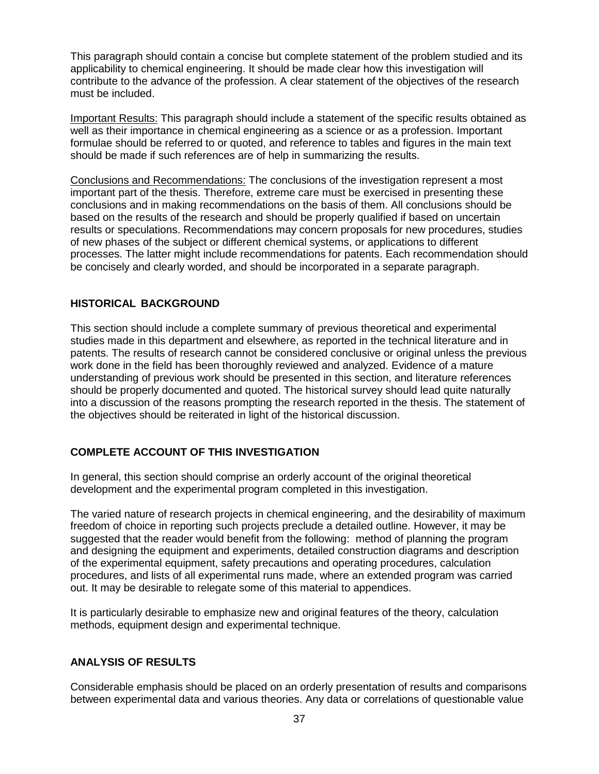This paragraph should contain a concise but complete statement of the problem studied and its applicability to chemical engineering. It should be made clear how this investigation will contribute to the advance of the profession. A clear statement of the objectives of the research must be included.

Important Results: This paragraph should include a statement of the specific results obtained as well as their importance in chemical engineering as a science or as a profession. Important formulae should be referred to or quoted, and reference to tables and figures in the main text should be made if such references are of help in summarizing the results.

Conclusions and Recommendations: The conclusions of the investigation represent a most important part of the thesis. Therefore, extreme care must be exercised in presenting these conclusions and in making recommendations on the basis of them. All conclusions should be based on the results of the research and should be properly qualified if based on uncertain results or speculations. Recommendations may concern proposals for new procedures, studies of new phases of the subject or different chemical systems, or applications to different processes. The latter might include recommendations for patents. Each recommendation should be concisely and clearly worded, and should be incorporated in a separate paragraph.

## **HISTORICAL BACKGROUND**

This section should include a complete summary of previous theoretical and experimental studies made in this department and elsewhere, as reported in the technical literature and in patents. The results of research cannot be considered conclusive or original unless the previous work done in the field has been thoroughly reviewed and analyzed. Evidence of a mature understanding of previous work should be presented in this section, and literature references should be properly documented and quoted. The historical survey should lead quite naturally into a discussion of the reasons prompting the research reported in the thesis. The statement of the objectives should be reiterated in light of the historical discussion.

# **COMPLETE ACCOUNT OF THIS INVESTIGATION**

In general, this section should comprise an orderly account of the original theoretical development and the experimental program completed in this investigation.

The varied nature of research projects in chemical engineering, and the desirability of maximum freedom of choice in reporting such projects preclude a detailed outline. However, it may be suggested that the reader would benefit from the following: method of planning the program and designing the equipment and experiments, detailed construction diagrams and description of the experimental equipment, safety precautions and operating procedures, calculation procedures, and lists of all experimental runs made, where an extended program was carried out. It may be desirable to relegate some of this material to appendices.

It is particularly desirable to emphasize new and original features of the theory, calculation methods, equipment design and experimental technique.

## **ANALYSIS OF RESULTS**

Considerable emphasis should be placed on an orderly presentation of results and comparisons between experimental data and various theories. Any data or correlations of questionable value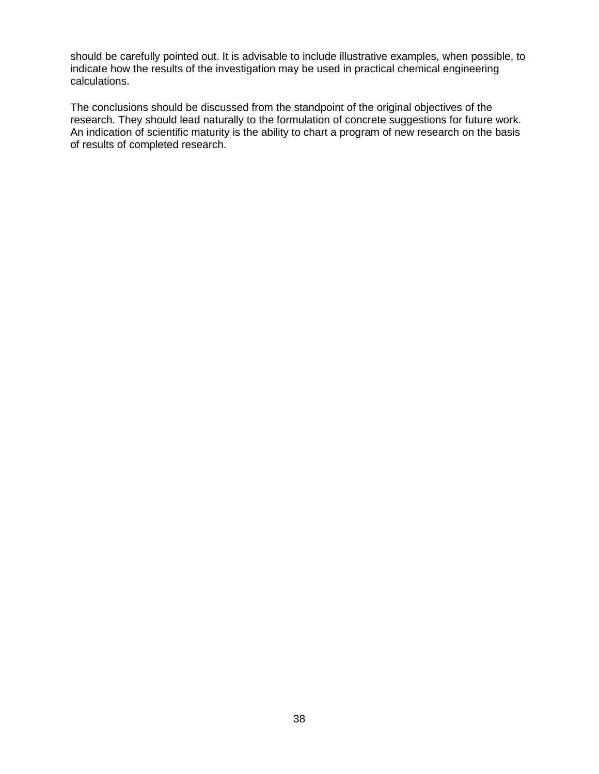should be carefully pointed out. It is advisable to include illustrative examples, when possible, to indicate how the results of the investigation may be used in practical chemical engineering calculations.

The conclusions should be discussed from the standpoint of the original objectives of the research. They should lead naturally to the formulation of concrete suggestions for future work. An indication of scientific maturity is the ability to chart a program of new research on the basis of results of completed research.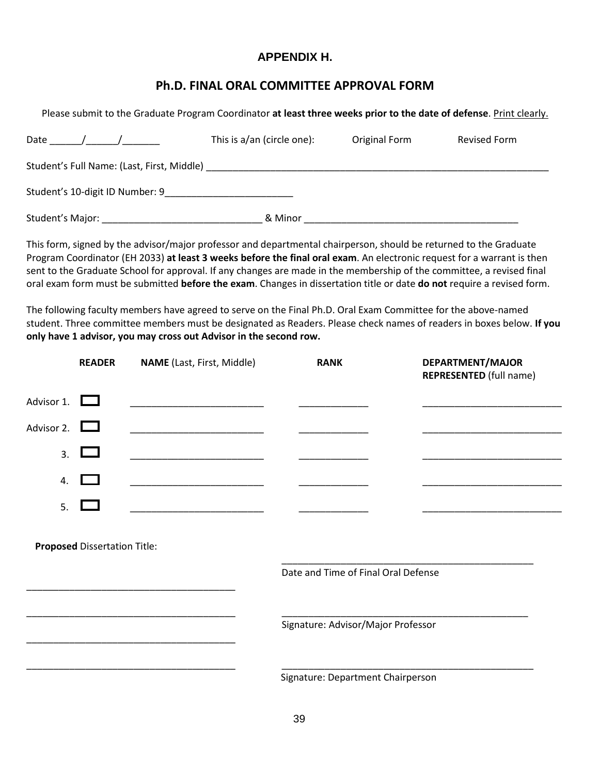# **APPENDIX H.**

# **Ph.D. FINAL ORAL COMMITTEE APPROVAL FORM**

Please submit to the Graduate Program Coordinator **at least three weeks prior to the date of defense**. Print clearly. Date \_\_\_\_\_\_/\_\_\_\_\_\_/\_\_\_\_\_\_\_ This is a/an (circle one): Original Form Revised Form Student's Full Name: (Last, First, Middle) \_\_\_\_\_\_\_\_\_\_\_\_\_\_\_\_\_\_\_\_\_\_\_\_\_\_\_\_\_\_\_\_\_\_\_\_\_\_\_\_\_\_\_\_\_\_\_\_\_\_\_\_\_\_\_\_\_\_\_\_\_\_\_\_ Student's 10-digit ID Number: 9\_\_\_\_\_\_\_\_\_\_\_\_\_\_\_\_\_\_\_\_\_\_\_\_ Student's Major: \_\_\_\_\_\_\_\_\_\_\_\_\_\_\_\_\_\_\_\_\_\_\_\_\_\_\_\_\_\_ & Minor \_\_\_\_\_\_\_\_\_\_\_\_\_\_\_\_\_\_\_\_\_\_\_\_\_\_\_\_\_\_\_\_\_\_\_\_\_\_\_\_

This form, signed by the advisor/major professor and departmental chairperson, should be returned to the Graduate Program Coordinator (EH 2033) **at least 3 weeks before the final oral exam**. An electronic request for a warrant is then sent to the Graduate School for approval. If any changes are made in the membership of the committee, a revised final oral exam form must be submitted **before the exam**. Changes in dissertation title or date **do not** require a revised form.

The following faculty members have agreed to serve on the Final Ph.D. Oral Exam Committee for the above-named student. Three committee members must be designated as Readers. Please check names of readers in boxes below. **If you only have 1 advisor, you may cross out Advisor in the second row.** 

|                   | <b>READER</b>                       | <b>NAME</b> (Last, First, Middle)                           | <b>RANK</b>                         | DEPARTMENT/MAJOR<br><b>REPRESENTED</b> (full name) |
|-------------------|-------------------------------------|-------------------------------------------------------------|-------------------------------------|----------------------------------------------------|
| Advisor 1. $\Box$ |                                     |                                                             |                                     |                                                    |
| Advisor 2. $\Box$ |                                     |                                                             |                                     |                                                    |
| 3.                |                                     |                                                             |                                     |                                                    |
| 4.                | $\blacksquare$                      | <u> 1980 - Jan Barnett, fransk politik (d. 1980)</u>        |                                     |                                                    |
| 5.                |                                     | the control of the control of the control of the control of |                                     |                                                    |
|                   | <b>Proposed Dissertation Title:</b> |                                                             | Date and Time of Final Oral Defense |                                                    |
|                   |                                     |                                                             |                                     |                                                    |
|                   |                                     |                                                             | Signature: Advisor/Major Professor  |                                                    |
|                   |                                     |                                                             |                                     |                                                    |
|                   |                                     |                                                             |                                     |                                                    |
|                   |                                     |                                                             | Signature: Department Chairperson   |                                                    |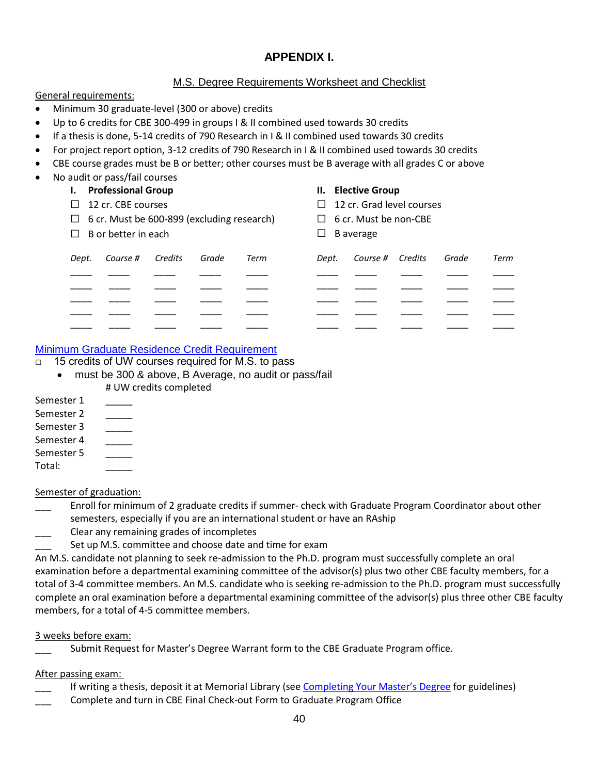# **APPENDIX I.**

## M.S. Degree Requirements Worksheet and Checklist

General requirements:

- Minimum 30 graduate-level (300 or above) credits
- Up to 6 credits for CBE 300-499 in groups I & II combined used towards 30 credits
- If a thesis is done, 5-14 credits of 790 Research in I & II combined used towards 30 credits
- For project report option, 3-12 credits of 790 Research in I & II combined used towards 30 credits
- CBE course grades must be B or better; other courses must be B average with all grades C or above
- No audit or pass/fail courses **I. Professional Group**

#### **II. Elective Group**

| $\Box$ | $\Box$ 12 cr. CBE courses<br>$\Box$ 6 cr. Must be 600-899 (excluding research)<br>B or better in each |         |       | $\Box$ | $\Box$ 12 cr. Grad level courses<br>$\Box$ 6 cr. Must be non-CBE<br>B average |                  |  |       |      |
|--------|-------------------------------------------------------------------------------------------------------|---------|-------|--------|-------------------------------------------------------------------------------|------------------|--|-------|------|
| Dept.  | Course #                                                                                              | Credits | Grade | Term   | Dept.                                                                         | Course # Credits |  | Grade | Term |
|        |                                                                                                       |         |       |        |                                                                               |                  |  |       |      |
|        |                                                                                                       |         |       |        |                                                                               |                  |  |       |      |
|        |                                                                                                       |         |       |        |                                                                               |                  |  |       |      |
|        |                                                                                                       |         |       |        |                                                                               |                  |  |       |      |
|        |                                                                                                       |         |       |        |                                                                               |                  |  |       |      |

## [Minimum Graduate Residence Credit Requirement](https://grad.wisc.edu/documents/minimum-graduate-residence-credit-requirement/)

- □ 15 credits of UW courses required for M.S. to pass
	- must be 300 & above, B Average, no audit or pass/fail # UW credits completed
- Semester 1 Semester 2 Semester 3 Semester 4 Semester 5 Total: \_\_\_\_\_

## Semester of graduation:

\_\_\_ Enroll for minimum of 2 graduate credits if summer- check with Graduate Program Coordinator about other semesters, especially if you are an international student or have an RAship

\_\_\_ Clear any remaining grades of incompletes

Set up M.S. committee and choose date and time for exam

An M.S. candidate not planning to seek re-admission to the Ph.D. program must successfully complete an oral examination before a departmental examining committee of the advisor(s) plus two other CBE faculty members, for a total of 3-4 committee members. An M.S. candidate who is seeking re-admission to the Ph.D. program must successfully complete an oral examination before a departmental examining committee of the advisor(s) plus three other CBE faculty members, for a total of 4-5 committee members.

#### 3 weeks before exam:

Submit Request for Master's Degree Warrant form to the CBE Graduate Program office.

#### After passing exam:

- If writing a thesis, deposit it at Memorial Library (see [Completing Your Master's Degree](https://grad.wisc.edu/current-students/masters-guide/) for guidelines)
- \_\_\_ Complete and turn in CBE Final Check-out Form to Graduate Program Office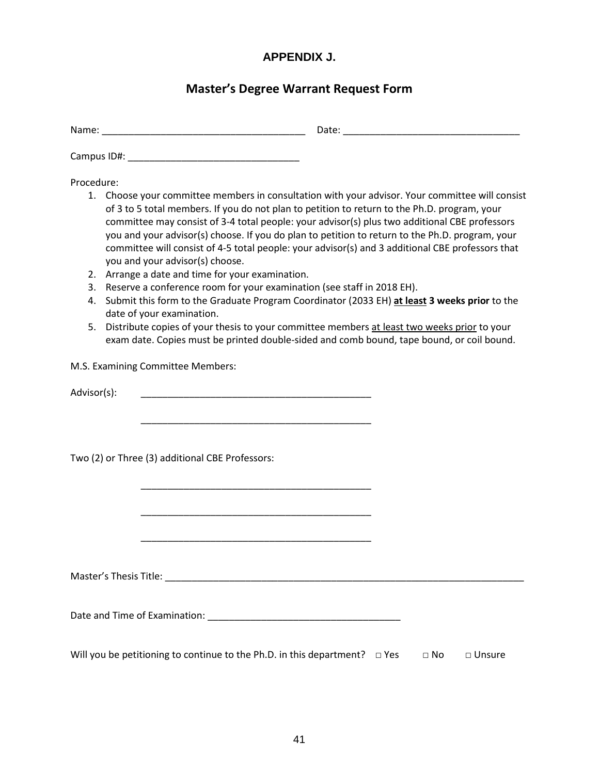# **APPENDIX J.**

# **Master's Degree Warrant Request Form**

| $\sim$<br>iname: | Date: |
|------------------|-------|
|                  |       |

Campus ID#: \_\_\_\_\_\_\_\_\_\_\_\_\_\_\_\_\_\_\_\_\_\_\_\_\_\_\_\_\_\_\_\_

Procedure:

- 1. Choose your committee members in consultation with your advisor. Your committee will consist of 3 to 5 total members. If you do not plan to petition to return to the Ph.D. program, your committee may consist of 3-4 total people: your advisor(s) plus two additional CBE professors you and your advisor(s) choose. If you do plan to petition to return to the Ph.D. program, your committee will consist of 4-5 total people: your advisor(s) and 3 additional CBE professors that you and your advisor(s) choose.
- 2. Arrange a date and time for your examination.
- 3. Reserve a conference room for your examination (see staff in 2018 EH).

\_\_\_\_\_\_\_\_\_\_\_\_\_\_\_\_\_\_\_\_\_\_\_\_\_\_\_\_\_\_\_\_\_\_\_\_\_\_\_\_\_\_\_

\_\_\_\_\_\_\_\_\_\_\_\_\_\_\_\_\_\_\_\_\_\_\_\_\_\_\_\_\_\_\_\_\_\_\_\_\_\_\_\_\_\_\_

\_\_\_\_\_\_\_\_\_\_\_\_\_\_\_\_\_\_\_\_\_\_\_\_\_\_\_\_\_\_\_\_\_\_\_\_\_\_\_\_\_\_\_

\_\_\_\_\_\_\_\_\_\_\_\_\_\_\_\_\_\_\_\_\_\_\_\_\_\_\_\_\_\_\_\_\_\_\_\_\_\_\_\_\_\_\_

- 4. Submit this form to the Graduate Program Coordinator (2033 EH) **at least 3 weeks prior** to the date of your examination.
- 5. Distribute copies of your thesis to your committee members at least two weeks prior to your exam date. Copies must be printed double-sided and comb bound, tape bound, or coil bound.

M.S. Examining Committee Members:

Advisor(s):

Two (2) or Three (3) additional CBE Professors:

Master's Thesis Title: \_\_\_\_\_\_\_\_\_\_\_\_\_\_\_\_\_\_\_\_\_\_\_\_\_\_\_\_\_\_\_\_\_\_\_\_\_\_\_\_\_\_\_\_\_\_\_\_\_\_\_\_\_\_\_\_\_\_\_\_\_\_\_\_\_\_\_

Date and Time of Examination: \_\_\_\_\_\_\_\_\_\_\_\_\_\_\_\_\_\_\_\_\_\_\_\_\_\_\_\_\_\_\_\_\_\_\_\_

Will you be petitioning to continue to the Ph.D. in this department?  $\Box$  Yes  $\Box$  No  $\Box$  Unsure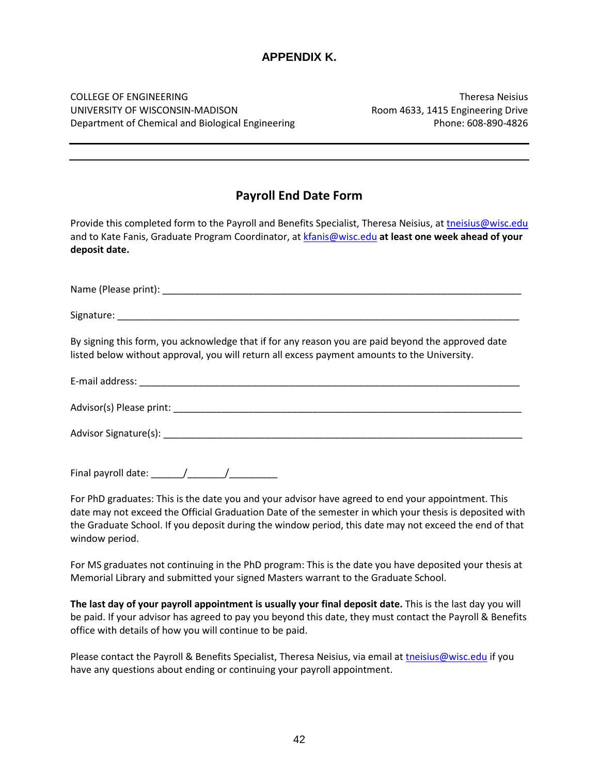# **APPENDIX K.**

COLLEGE OF ENGINEERING Theresa Neisius UNIVERSITY OF WISCONSIN-MADISON Room 4633, 1415 Engineering Drive Department of Chemical and Biological Engineering Phone: 608-890-4826

# **Payroll End Date Form**

Provide this completed form to the Payroll and Benefits Specialist, Theresa Neisius, a[t tneisius@wisc.edu](mailto:tneisius@wisc.edu) and to Kate Fanis, Graduate Program Coordinator, at [kfanis@wisc.edu](mailto:kfanis@wisc.edu) **at least one week ahead of your deposit date.**

Name (Please print): \_\_\_\_\_\_\_\_\_\_\_\_\_\_\_\_\_\_\_\_\_\_\_\_\_\_\_\_\_\_\_\_\_\_\_\_\_\_\_\_\_\_\_\_\_\_\_\_\_\_\_\_\_\_\_\_\_\_\_\_\_\_\_\_\_\_\_

Signature: \_\_\_\_\_\_\_\_\_\_\_\_\_\_\_\_\_\_\_\_\_\_\_\_\_\_\_\_\_\_\_\_\_\_\_\_\_\_\_\_\_\_\_\_\_\_\_\_\_\_\_\_\_\_\_\_\_\_\_\_\_\_\_\_\_\_\_\_\_\_\_\_\_\_\_

By signing this form, you acknowledge that if for any reason you are paid beyond the approved date listed below without approval, you will return all excess payment amounts to the University.

E-mail address:

Advisor(s) Please print: \_\_\_\_\_\_\_\_\_\_\_\_\_\_\_\_\_\_\_\_\_\_\_\_\_\_\_\_\_\_\_\_\_\_\_\_\_\_\_\_\_\_\_\_\_\_\_\_\_\_\_\_\_\_\_\_\_\_\_\_\_\_\_\_\_

Advisor Signature(s): \_\_\_\_\_\_\_\_\_\_\_\_\_\_\_\_\_\_\_\_\_\_\_\_\_\_\_\_\_\_\_\_\_\_\_\_\_\_\_\_\_\_\_\_\_\_\_\_\_\_\_\_\_\_\_\_\_\_\_\_\_\_\_\_\_\_\_

Final payroll date:  $\frac{1}{2}$  /

For PhD graduates: This is the date you and your advisor have agreed to end your appointment. This date may not exceed the Official Graduation Date of the semester in which your thesis is deposited with the Graduate School. If you deposit during the window period, this date may not exceed the end of that window period.

For MS graduates not continuing in the PhD program: This is the date you have deposited your thesis at Memorial Library and submitted your signed Masters warrant to the Graduate School.

**The last day of your payroll appointment is usually your final deposit date.** This is the last day you will be paid. If your advisor has agreed to pay you beyond this date, they must contact the Payroll & Benefits office with details of how you will continue to be paid.

Please contact the Payroll & Benefits Specialist, Theresa Neisius, via email at [tneisius@wisc.edu](mailto:tneisius@wisc.edu) if you have any questions about ending or continuing your payroll appointment.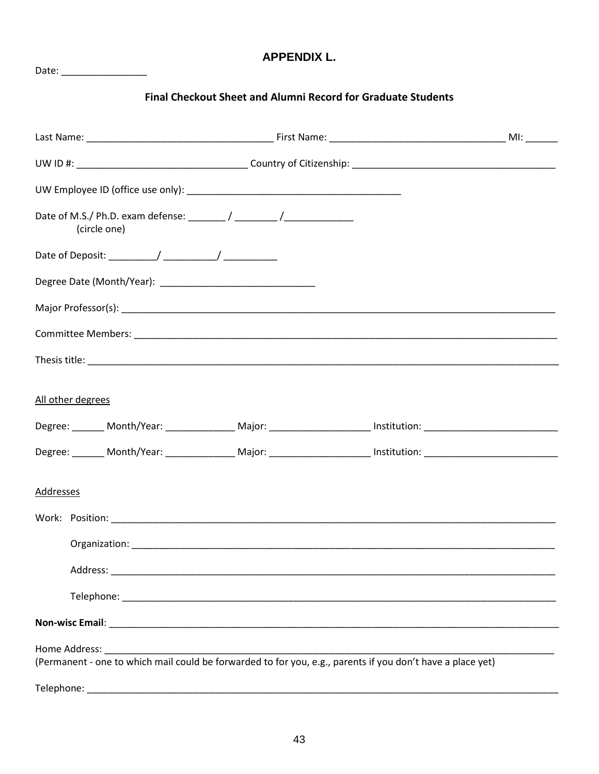# **APPENDIX L.**

# Final Checkout Sheet and Alumni Record for Graduate Students

| (circle one)                                                                                                    |  |
|-----------------------------------------------------------------------------------------------------------------|--|
|                                                                                                                 |  |
|                                                                                                                 |  |
|                                                                                                                 |  |
|                                                                                                                 |  |
|                                                                                                                 |  |
| All other degrees                                                                                               |  |
| Degree: _______ Month/Year: ______________ Major: ____________________ Institution: __________________________  |  |
| Degree: _______ Month/Year: _______________ Major: _____________________ Institution: _________________________ |  |
| <b>Addresses</b>                                                                                                |  |
|                                                                                                                 |  |
|                                                                                                                 |  |
|                                                                                                                 |  |
|                                                                                                                 |  |
|                                                                                                                 |  |
|                                                                                                                 |  |
|                                                                                                                 |  |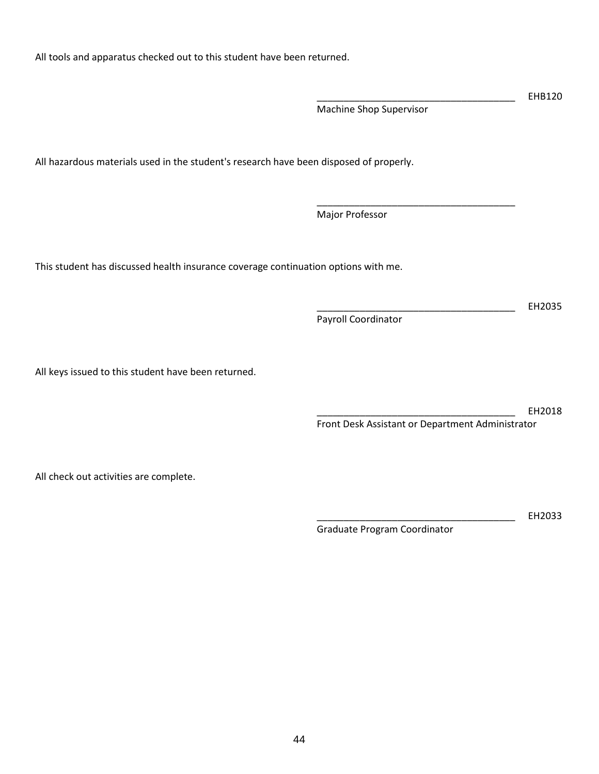All tools and apparatus checked out to this student have been returned.

All hazardous materials used in the student's research have been disposed of properly.

Major Professor

This student has discussed health insurance coverage continuation options with me.

All keys issued to this student have been returned.

\_\_\_\_\_\_\_\_\_\_\_\_\_\_\_\_\_\_\_\_\_\_\_\_\_\_\_\_\_\_\_\_\_\_\_\_\_ EH2018 Front Desk Assistant or Department Administrator

All check out activities are complete.

Graduate Program Coordinator

\_\_\_\_\_\_\_\_\_\_\_\_\_\_\_\_\_\_\_\_\_\_\_\_\_\_\_\_\_\_\_\_\_\_\_\_\_ EH2033

\_\_\_\_\_\_\_\_\_\_\_\_\_\_\_\_\_\_\_\_\_\_\_\_\_\_\_\_\_\_\_\_\_\_\_\_\_ EHB120

\_\_\_\_\_\_\_\_\_\_\_\_\_\_\_\_\_\_\_\_\_\_\_\_\_\_\_\_\_\_\_\_\_\_\_\_\_ EH2035

Machine Shop Supervisor

\_\_\_\_\_\_\_\_\_\_\_\_\_\_\_\_\_\_\_\_\_\_\_\_\_\_\_\_\_\_\_\_\_\_\_\_\_

Payroll Coordinator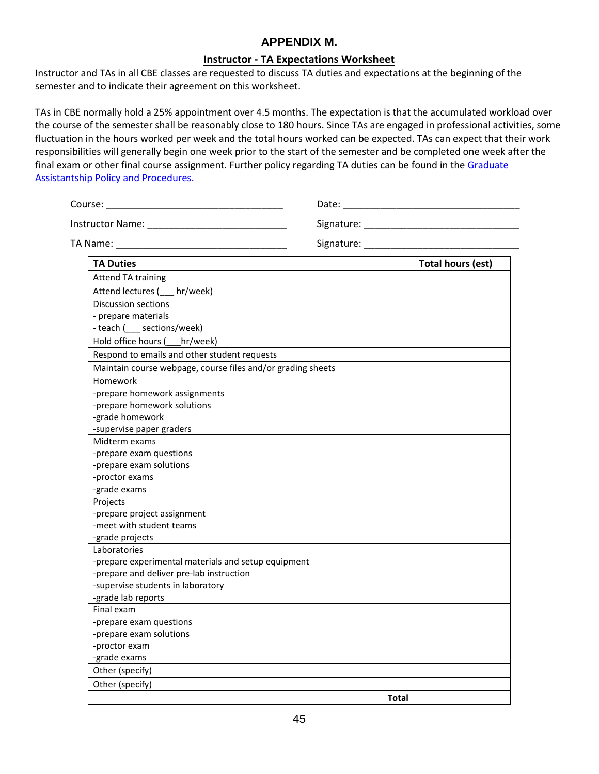# **APPENDIX M.**

#### **Instructor - TA Expectations Worksheet**

Instructor and TAs in all CBE classes are requested to discuss TA duties and expectations at the beginning of the semester and to indicate their agreement on this worksheet.

TAs in CBE normally hold a 25% appointment over 4.5 months. The expectation is that the accumulated workload over the course of the semester shall be reasonably close to 180 hours. Since TAs are engaged in professional activities, some fluctuation in the hours worked per week and the total hours worked can be expected. TAs can expect that their work responsibilities will generally begin one week prior to the start of the semester and be completed one week after the final exam or other final course assignment. Further policy regarding TA duties can be found in the Graduate [Assistantship Policy and Procedures.](https://hr.wisc.edu/policies/gapp/#duties)

| Course:<br><u> 1989 - Johann Barn, mars eta bat eta bat erroman erroman erroman erroman erroman erroman erroman erroman err</u> | Date:                     |                          |  |  |
|---------------------------------------------------------------------------------------------------------------------------------|---------------------------|--------------------------|--|--|
|                                                                                                                                 |                           |                          |  |  |
|                                                                                                                                 | Signature: ______________ |                          |  |  |
| <b>TA Duties</b>                                                                                                                |                           | <b>Total hours (est)</b> |  |  |
| <b>Attend TA training</b>                                                                                                       |                           |                          |  |  |
| Attend lectures ( hr/week)                                                                                                      |                           |                          |  |  |
| Discussion sections                                                                                                             |                           |                          |  |  |
| - prepare materials                                                                                                             |                           |                          |  |  |
| - teach (___ sections/week)                                                                                                     |                           |                          |  |  |
| Hold office hours ( hr/week)                                                                                                    |                           |                          |  |  |
| Respond to emails and other student requests                                                                                    |                           |                          |  |  |
| Maintain course webpage, course files and/or grading sheets                                                                     |                           |                          |  |  |
| Homework                                                                                                                        |                           |                          |  |  |
| -prepare homework assignments                                                                                                   |                           |                          |  |  |
| -prepare homework solutions                                                                                                     |                           |                          |  |  |
| -grade homework                                                                                                                 |                           |                          |  |  |
| -supervise paper graders                                                                                                        |                           |                          |  |  |
| Midterm exams                                                                                                                   |                           |                          |  |  |
| -prepare exam questions                                                                                                         |                           |                          |  |  |
| -prepare exam solutions                                                                                                         |                           |                          |  |  |
| -proctor exams                                                                                                                  |                           |                          |  |  |
| -grade exams                                                                                                                    |                           |                          |  |  |
| Projects                                                                                                                        |                           |                          |  |  |
| -prepare project assignment                                                                                                     |                           |                          |  |  |
| -meet with student teams                                                                                                        |                           |                          |  |  |
| -grade projects                                                                                                                 |                           |                          |  |  |
| Laboratories                                                                                                                    |                           |                          |  |  |
| -prepare experimental materials and setup equipment                                                                             |                           |                          |  |  |
| -prepare and deliver pre-lab instruction                                                                                        |                           |                          |  |  |
| -supervise students in laboratory                                                                                               |                           |                          |  |  |
| -grade lab reports                                                                                                              |                           |                          |  |  |
| Final exam                                                                                                                      |                           |                          |  |  |
| -prepare exam questions                                                                                                         |                           |                          |  |  |
| -prepare exam solutions                                                                                                         |                           |                          |  |  |
| -proctor exam                                                                                                                   |                           |                          |  |  |
| -grade exams                                                                                                                    |                           |                          |  |  |
| Other (specify)                                                                                                                 |                           |                          |  |  |
| Other (specify)                                                                                                                 |                           |                          |  |  |
|                                                                                                                                 | <b>Total</b>              |                          |  |  |